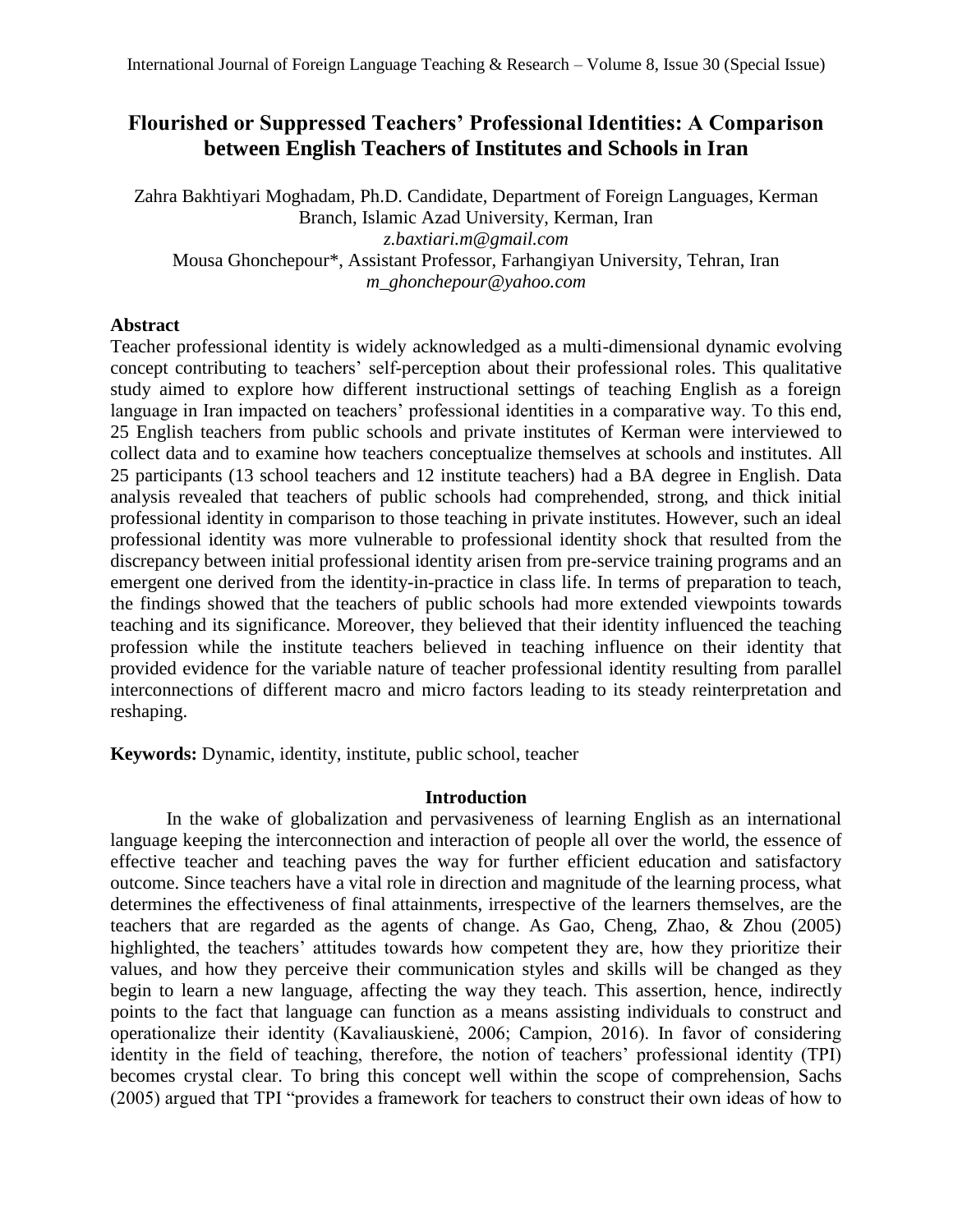# **Flourished or Suppressed Teachers' Professional Identities: A Comparison between English Teachers of Institutes and Schools in Iran**

Zahra Bakhtiyari Moghadam*,* Ph.D. Candidate, Department of Foreign Languages, Kerman Branch, Islamic Azad University, Kerman, Iran *z.baxtiari.m@gmail.com* Mousa Ghonchepour\*, Assistant Professor, Farhangiyan University, Tehran, Iran *m\_ghonchepour@yahoo.com*

### **Abstract**

Teacher professional identity is widely acknowledged as a multi-dimensional dynamic evolving concept contributing to teachers' self-perception about their professional roles. This qualitative study aimed to explore how different instructional settings of teaching English as a foreign language in Iran impacted on teachers' professional identities in a comparative way. To this end, 25 English teachers from public schools and private institutes of Kerman were interviewed to collect data and to examine how teachers conceptualize themselves at schools and institutes. All 25 participants (13 school teachers and 12 institute teachers) had a BA degree in English. Data analysis revealed that teachers of public schools had comprehended, strong, and thick initial professional identity in comparison to those teaching in private institutes. However, such an ideal professional identity was more vulnerable to professional identity shock that resulted from the discrepancy between initial professional identity arisen from pre-service training programs and an emergent one derived from the identity-in-practice in class life. In terms of preparation to teach, the findings showed that the teachers of public schools had more extended viewpoints towards teaching and its significance. Moreover, they believed that their identity influenced the teaching profession while the institute teachers believed in teaching influence on their identity that provided evidence for the variable nature of teacher professional identity resulting from parallel interconnections of different macro and micro factors leading to its steady reinterpretation and reshaping.

**Keywords:** Dynamic, identity, institute, public school, teacher

### **Introduction**

In the wake of globalization and pervasiveness of learning English as an international language keeping the interconnection and interaction of people all over the world, the essence of effective teacher and teaching paves the way for further efficient education and satisfactory outcome. Since teachers have a vital role in direction and magnitude of the learning process, what determines the effectiveness of final attainments, irrespective of the learners themselves, are the teachers that are regarded as the agents of change. As Gao, Cheng, Zhao, & Zhou (2005) highlighted, the teachers' attitudes towards how competent they are, how they prioritize their values, and how they perceive their communication styles and skills will be changed as they begin to learn a new language, affecting the way they teach. This assertion, hence, indirectly points to the fact that language can function as a means assisting individuals to construct and operationalize their identity (Kavaliauskienė, 2006; Campion, 2016). In favor of considering identity in the field of teaching, therefore, the notion of teachers' professional identity (TPI) becomes crystal clear. To bring this concept well within the scope of comprehension, Sachs (2005) argued that TPI "provides a framework for teachers to construct their own ideas of how to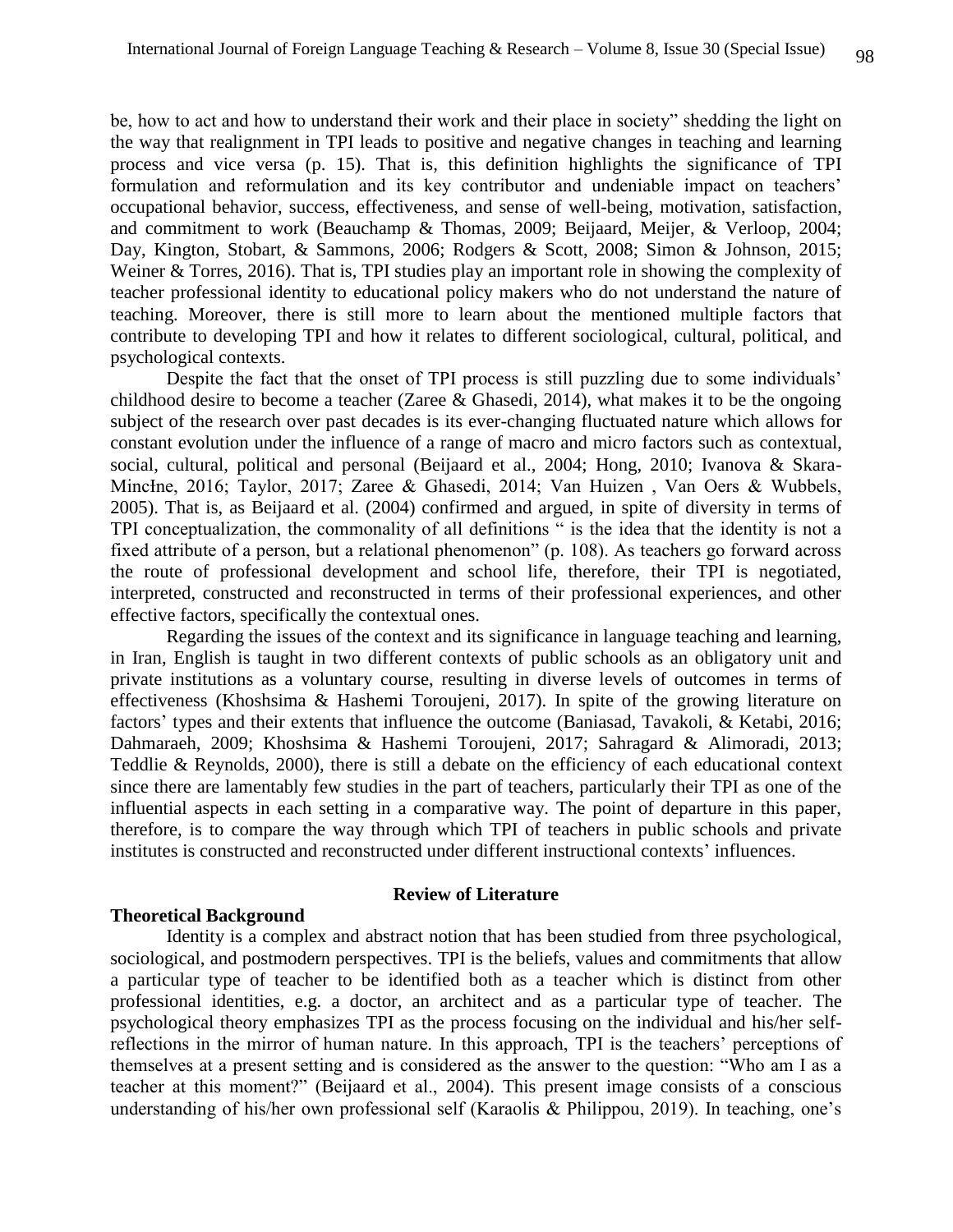be, how to act and how to understand their work and their place in society" shedding the light on the way that realignment in TPI leads to positive and negative changes in teaching and learning process and vice versa (p. 15). That is, this definition highlights the significance of TPI formulation and reformulation and its key contributor and undeniable impact on teachers' occupational behavior, success, effectiveness, and sense of well-being, motivation, satisfaction, and commitment to work (Beauchamp & Thomas, 2009; Beijaard, Meijer, & Verloop, 2004; Day, Kington, Stobart, & Sammons, 2006; Rodgers & Scott, 2008; Simon & Johnson, 2015; Weiner & Torres, 2016). That is, TPI studies play an important role in showing the complexity of teacher professional identity to educational policy makers who do not understand the nature of teaching. Moreover, there is still more to learn about the mentioned multiple factors that contribute to developing TPI and how it relates to different sociological, cultural, political, and psychological contexts.

Despite the fact that the onset of TPI process is still puzzling due to some individuals' childhood desire to become a teacher (Zaree & Ghasedi, 2014), what makes it to be the ongoing subject of the research over past decades is its ever-changing fluctuated nature which allows for constant evolution under the influence of a range of macro and micro factors such as contextual, social, cultural, political and personal (Beijaard et al., 2004; Hong, 2010; Ivanova & Skara-MincIne, 2016; Taylor, 2017; Zaree & Ghasedi, 2014; Van Huizen, Van Oers & Wubbels, 2005). That is, as Beijaard et al. (2004) confirmed and argued, in spite of diversity in terms of TPI conceptualization, the commonality of all definitions " is the idea that the identity is not a fixed attribute of a person, but a relational phenomenon" (p. 108). As teachers go forward across the route of professional development and school life, therefore, their TPI is negotiated, interpreted, constructed and reconstructed in terms of their professional experiences, and other effective factors, specifically the contextual ones.

Regarding the issues of the context and its significance in language teaching and learning, in Iran, English is taught in two different contexts of public schools as an obligatory unit and private institutions as a voluntary course, resulting in diverse levels of outcomes in terms of effectiveness (Khoshsima & Hashemi Toroujeni, 2017). In spite of the growing literature on factors' types and their extents that influence the outcome (Baniasad, Tavakoli, & Ketabi, 2016; Dahmaraeh, 2009; Khoshsima & Hashemi Toroujeni, 2017; Sahragard & Alimoradi, 2013; Teddlie & Reynolds, 2000), there is still a debate on the efficiency of each educational context since there are lamentably few studies in the part of teachers, particularly their TPI as one of the influential aspects in each setting in a comparative way. The point of departure in this paper, therefore, is to compare the way through which TPI of teachers in public schools and private institutes is constructed and reconstructed under different instructional contexts' influences.

### **Review of Literature**

#### **Theoretical Background**

Identity is a complex and abstract notion that has been studied from three psychological, sociological, and postmodern perspectives. TPI is the beliefs, values and commitments that allow a particular type of teacher to be identified both as a teacher which is distinct from other professional identities, e.g. a doctor, an architect and as a particular type of teacher. The psychological theory emphasizes TPI as the process focusing on the individual and his/her selfreflections in the mirror of human nature. In this approach, TPI is the teachers' perceptions of themselves at a present setting and is considered as the answer to the question: "Who am I as a teacher at this moment?" (Beijaard et al., [2004\)](https://link.springer.com/chapter/10.1007/978-3-030-13761-8_18#CR7). This present image consists of a conscious understanding of his/her own professional self (Karaolis & Philippou, 2019). In teaching, one's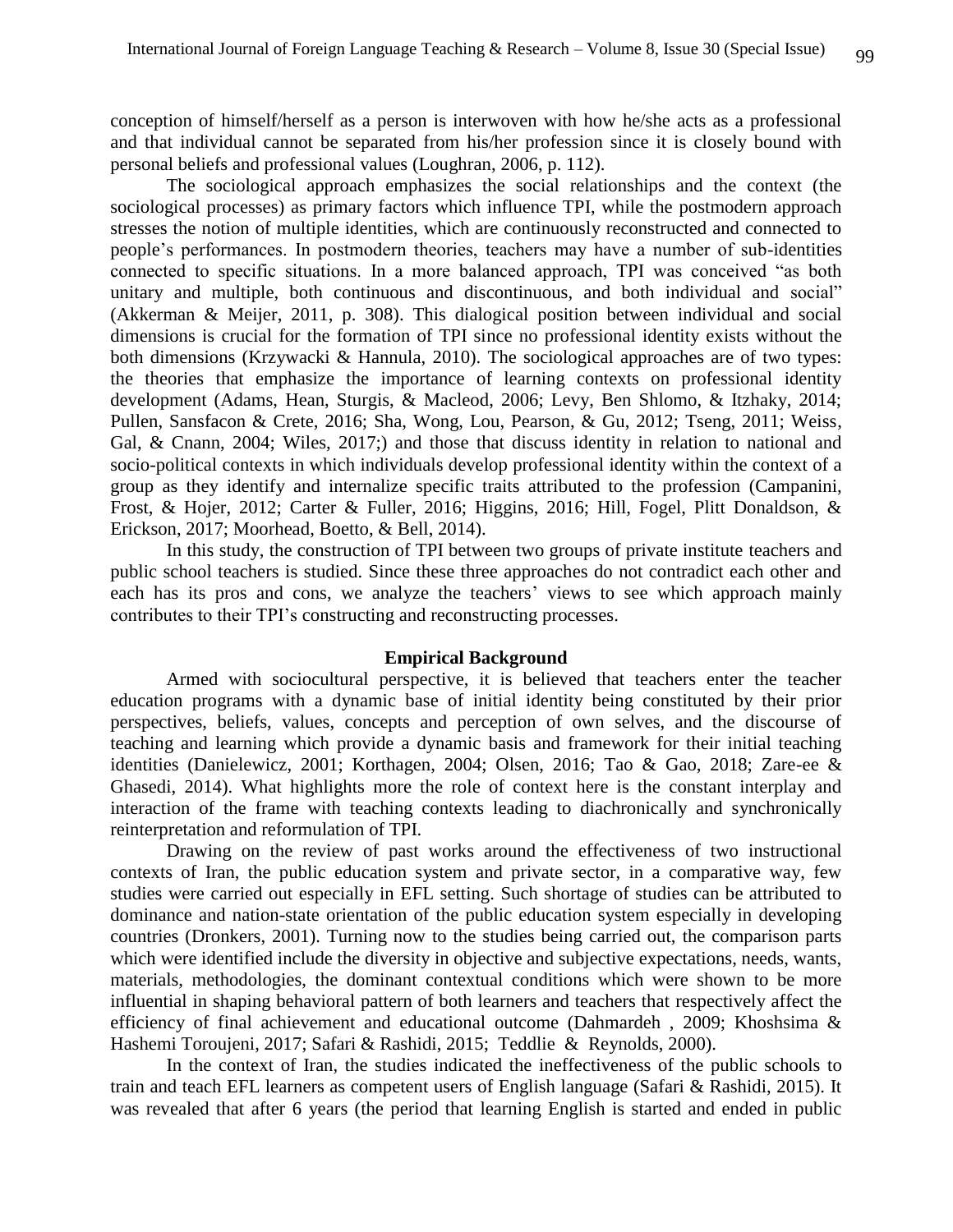conception of himself/herself as a person is interwoven with how he/she acts as a professional and that individual cannot be separated from his/her profession since it is closely bound with personal beliefs and professional values (Loughran, [2006,](https://link.springer.com/chapter/10.1007/978-3-030-13761-8_18#CR41) p. 112).

The sociological approach emphasizes the social relationships and the context (the sociological processes) as primary factors which influence TPI, while the postmodern approach stresses the notion of multiple identities, which are continuously reconstructed and connected to people's performances. In postmodern theories, teachers may have a number of sub-identities connected to specific situations. In a more balanced approach, TPI was conceived "as both unitary and multiple, both continuous and discontinuous, and both individual and social" (Akkerman & Meijer, [2011,](https://link.springer.com/chapter/10.1007/978-3-030-13761-8_18#CR2) p. 308). This dialogical position between individual and social dimensions is crucial for the formation of TPI since no professional identity exists without the both dimensions (Krzywacki & Hannula, [2010\)](https://link.springer.com/chapter/10.1007/978-3-030-13761-8_18#CR34). The sociological approaches are of two types: the theories that emphasize the importance of learning contexts on professional identity development (Adams, Hean, Sturgis, & Macleod, 2006; Levy, Ben Shlomo, & Itzhaky, 2014; Pullen, Sansfacon & Crete, 2016; Sha, Wong, Lou, Pearson, & Gu, 2012; Tseng, 2011; Weiss, Gal, & Cnann, 2004; Wiles, 2017;) and those that discuss identity in relation to national and socio-political contexts in which individuals develop professional identity within the context of a group as they identify and internalize specific traits attributed to the profession (Campanini, Frost, & Hojer, 2012; Carter & Fuller, 2016; Higgins, 2016; Hill, Fogel, Plitt Donaldson, & Erickson, 2017; Moorhead, Boetto, & Bell, 2014).

In this study, the construction of TPI between two groups of private institute teachers and public school teachers is studied. Since these three approaches do not contradict each other and each has its pros and cons, we analyze the teachers' views to see which approach mainly contributes to their TPI's constructing and reconstructing processes.

#### **Empirical Background**

Armed with sociocultural perspective, it is believed that teachers enter the teacher education programs with a dynamic base of initial identity being constituted by their prior perspectives, beliefs, values, concepts and perception of own selves, and the discourse of teaching and learning which provide a dynamic basis and framework for their initial teaching identities (Danielewicz, 2001; Korthagen, 2004; Olsen, 2016; Tao & Gao, 2018; Zare-ee & Ghasedi, 2014). What highlights more the role of context here is the constant interplay and interaction of the frame with teaching contexts leading to diachronically and synchronically reinterpretation and reformulation of TPI.

Drawing on the review of past works around the effectiveness of two instructional contexts of Iran, the public education system and private sector, in a comparative way, few studies were carried out especially in EFL setting. Such shortage of studies can be attributed to dominance and nation-state orientation of the public education system especially in developing countries (Dronkers, 2001). Turning now to the studies being carried out, the comparison parts which were identified include the diversity in objective and subjective expectations, needs, wants, materials, methodologies, the dominant contextual conditions which were shown to be more influential in shaping behavioral pattern of both learners and teachers that respectively affect the efficiency of final achievement and educational outcome (Dahmardeh , 2009; Khoshsima & Hashemi Toroujeni, 2017; Safari & Rashidi, 2015; Teddlie & Reynolds, 2000).

In the context of Iran, the studies indicated the ineffectiveness of the public schools to train and teach EFL learners as competent users of English language (Safari & Rashidi, 2015). It was revealed that after 6 years (the period that learning English is started and ended in public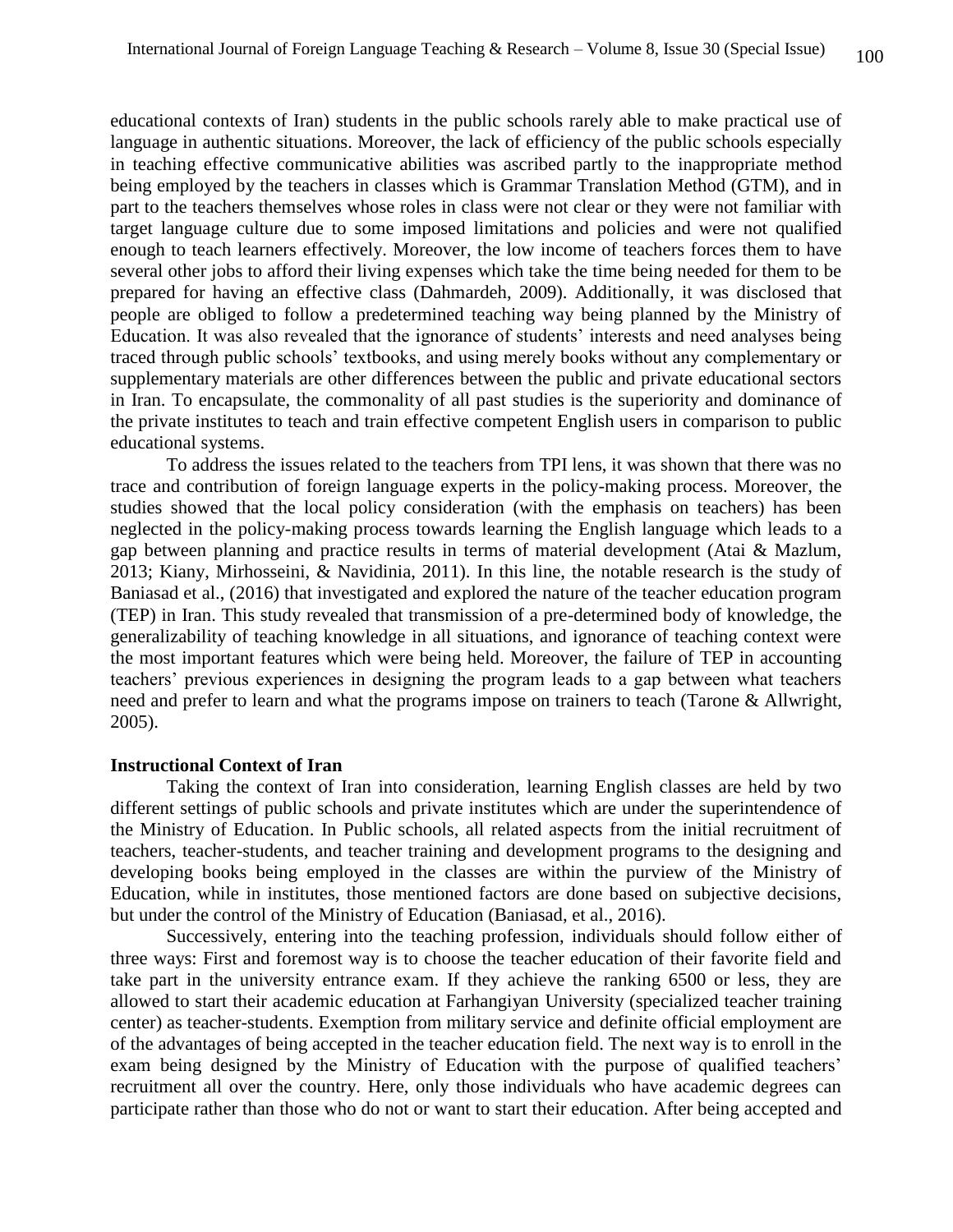educational contexts of Iran) students in the public schools rarely able to make practical use of language in authentic situations. Moreover, the lack of efficiency of the public schools especially in teaching effective communicative abilities was ascribed partly to the inappropriate method being employed by the teachers in classes which is Grammar Translation Method (GTM), and in part to the teachers themselves whose roles in class were not clear or they were not familiar with target language culture due to some imposed limitations and policies and were not qualified enough to teach learners effectively. Moreover, the low income of teachers forces them to have several other jobs to afford their living expenses which take the time being needed for them to be prepared for having an effective class (Dahmardeh, 2009). Additionally, it was disclosed that people are obliged to follow a predetermined teaching way being planned by the Ministry of Education. It was also revealed that the ignorance of students' interests and need analyses being traced through public schools' textbooks, and using merely books without any complementary or supplementary materials are other differences between the public and private educational sectors in Iran. To encapsulate, the commonality of all past studies is the superiority and dominance of the private institutes to teach and train effective competent English users in comparison to public educational systems.

To address the issues related to the teachers from TPI lens, it was shown that there was no trace and contribution of foreign language experts in the policy-making process. Moreover, the studies showed that the local policy consideration (with the emphasis on teachers) has been neglected in the policy-making process towards learning the English language which leads to a gap between planning and practice results in terms of material development (Atai & Mazlum, 2013; Kiany, Mirhosseini, & Navidinia, 2011). In this line, the notable research is the study of Baniasad et al., (2016) that investigated and explored the nature of the teacher education program (TEP) in Iran. This study revealed that transmission of a pre-determined body of knowledge, the generalizability of teaching knowledge in all situations, and ignorance of teaching context were the most important features which were being held. Moreover, the failure of TEP in accounting teachers' previous experiences in designing the program leads to a gap between what teachers need and prefer to learn and what the programs impose on trainers to teach (Tarone & Allwright, 2005).

#### **Instructional Context of Iran**

Taking the context of Iran into consideration, learning English classes are held by two different settings of public schools and private institutes which are under the superintendence of the Ministry of Education. In Public schools, all related aspects from the initial recruitment of teachers, teacher-students, and teacher training and development programs to the designing and developing books being employed in the classes are within the purview of the Ministry of Education, while in institutes, those mentioned factors are done based on subjective decisions, but under the control of the Ministry of Education (Baniasad, et al., 2016).

Successively, entering into the teaching profession, individuals should follow either of three ways: First and foremost way is to choose the teacher education of their favorite field and take part in the university entrance exam. If they achieve the ranking 6500 or less, they are allowed to start their academic education at Farhangiyan University (specialized teacher training center) as teacher-students. Exemption from military service and definite official employment are of the advantages of being accepted in the teacher education field. The next way is to enroll in the exam being designed by the Ministry of Education with the purpose of qualified teachers' recruitment all over the country. Here, only those individuals who have academic degrees can participate rather than those who do not or want to start their education. After being accepted and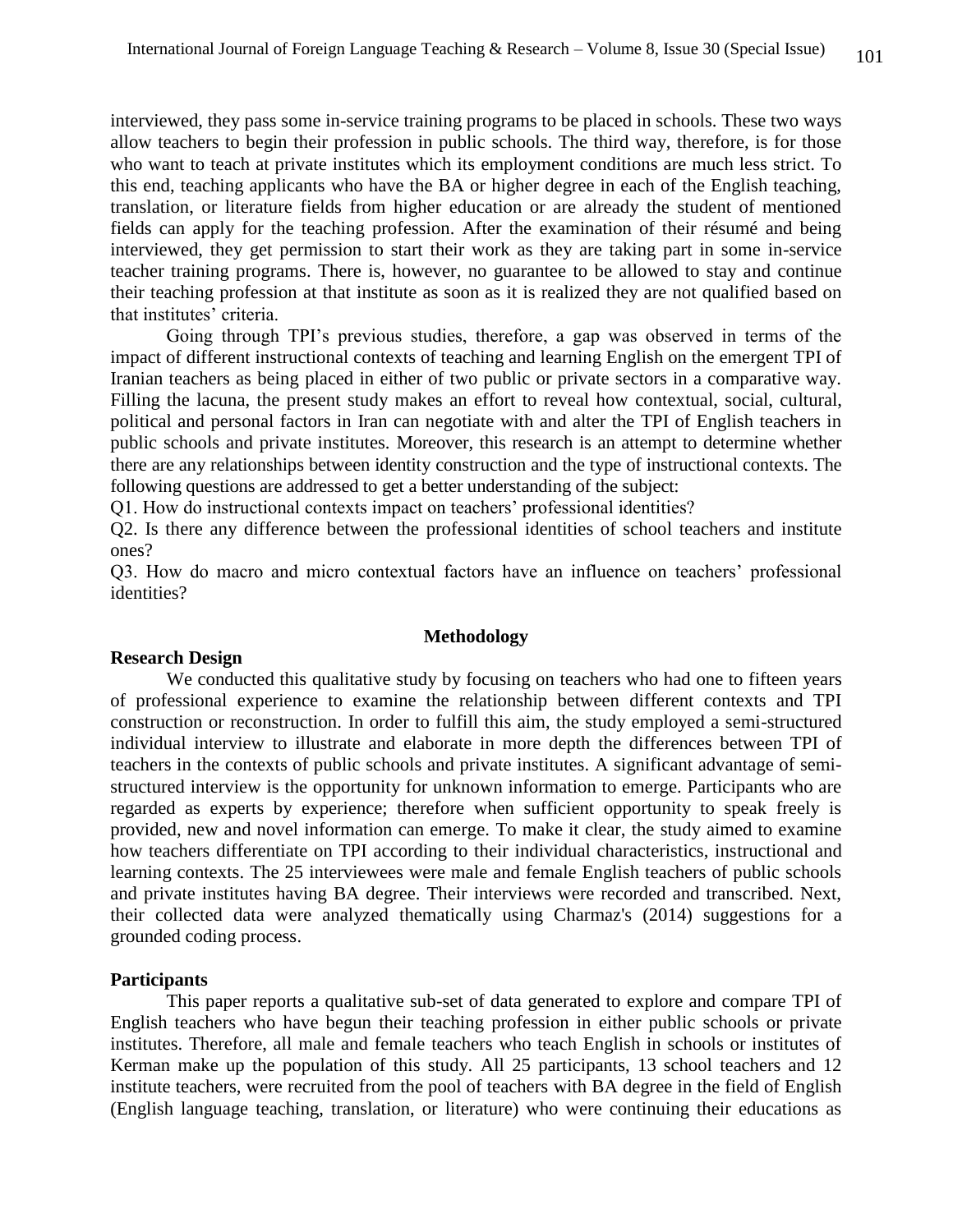interviewed, they pass some in-service training programs to be placed in schools. These two ways allow teachers to begin their profession in public schools. The third way, therefore, is for those who want to teach at private institutes which its employment conditions are much less strict. To this end, teaching applicants who have the BA or higher degree in each of the English teaching, translation, or literature fields from higher education or are already the student of mentioned fields can apply for the teaching profession. After the examination of their résumé and being interviewed, they get permission to start their work as they are taking part in some in-service teacher training programs. There is, however, no guarantee to be allowed to stay and continue their teaching profession at that institute as soon as it is realized they are not qualified based on that institutes' criteria.

Going through TPI's previous studies, therefore, a gap was observed in terms of the impact of different instructional contexts of teaching and learning English on the emergent TPI of Iranian teachers as being placed in either of two public or private sectors in a comparative way. Filling the lacuna, the present study makes an effort to reveal how contextual, social, cultural, political and personal factors in Iran can negotiate with and alter the TPI of English teachers in public schools and private institutes. Moreover, this research is an attempt to determine whether there are any relationships between identity construction and the type of instructional contexts. The following questions are addressed to get a better understanding of the subject:

Q1. How do instructional contexts impact on teachers' professional identities?

Q2. Is there any difference between the professional identities of school teachers and institute ones?

Q3. How do macro and micro contextual factors have an influence on teachers' professional identities?

#### **Methodology**

#### **Research Design**

We conducted this qualitative study by focusing on teachers who had one to fifteen years of professional experience to examine the relationship between different contexts and TPI construction or reconstruction. In order to fulfill this aim, the study employed a semi-structured individual interview to illustrate and elaborate in more depth the differences between TPI of teachers in the contexts of public schools and private institutes. A significant advantage of semistructured interview is the opportunity for unknown information to emerge. Participants who are regarded as experts by experience; therefore when sufficient opportunity to speak freely is provided, new and novel information can emerge. To make it clear, the study aimed to examine how teachers differentiate on TPI according to their individual characteristics, instructional and learning contexts. The 25 interviewees were male and female English teachers of public schools and private institutes having BA degree. Their interviews were recorded and transcribed. Next, their collected data were analyzed thematically using Charmaz's (2014) suggestions for a grounded coding process.

#### **Participants**

This paper reports a qualitative sub-set of data generated to explore and compare TPI of English teachers who have begun their teaching profession in either public schools or private institutes. Therefore, all male and female teachers who teach English in schools or institutes of Kerman make up the population of this study. All 25 participants, 13 school teachers and 12 institute teachers, were recruited from the pool of teachers with BA degree in the field of English (English language teaching, translation, or literature) who were continuing their educations as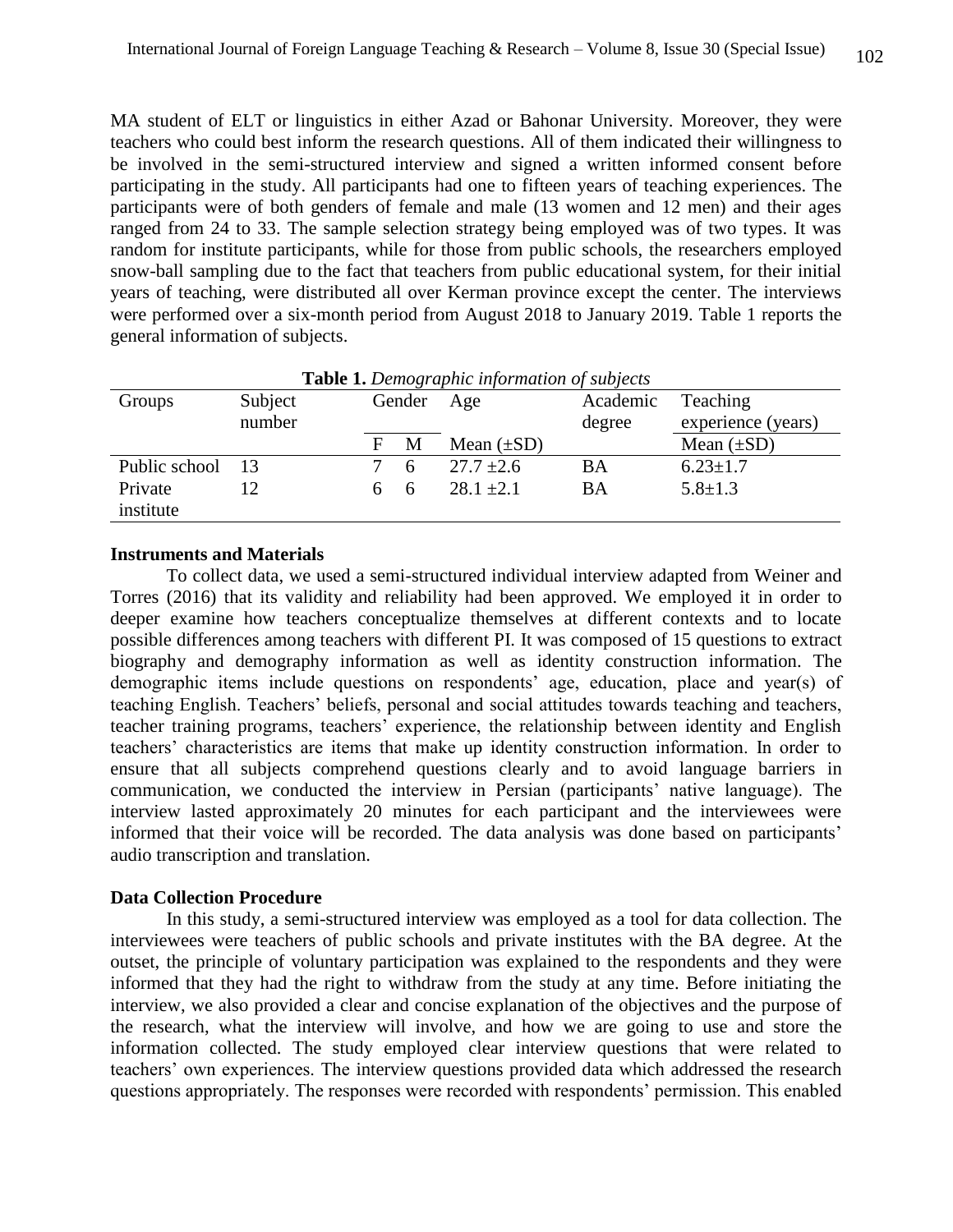MA student of ELT or linguistics in either Azad or Bahonar University. Moreover, they were teachers who could best inform the research questions. All of them indicated their willingness to be involved in the semi-structured interview and signed a written informed consent before participating in the study. All participants had one to fifteen years of teaching experiences. The participants were of both genders of female and male (13 women and 12 men) and their ages ranged from 24 to 33. The sample selection strategy being employed was of two types. It was random for institute participants, while for those from public schools, the researchers employed snow-ball sampling due to the fact that teachers from public educational system, for their initial years of teaching, were distributed all over Kerman province except the center. The interviews were performed over a six-month period from August 2018 to January 2019. Table 1 reports the general information of subjects.

| <b>Table 1.</b> Demographic information of subjects |         |   |        |                 |          |                    |
|-----------------------------------------------------|---------|---|--------|-----------------|----------|--------------------|
| Groups                                              | Subject |   | Gender | Age             | Academic | Teaching           |
|                                                     | number  |   |        |                 | degree   | experience (years) |
|                                                     |         | F | M      | Mean $(\pm SD)$ |          | Mean $(\pm SD)$    |
| Public school 13                                    |         |   | h      | $27.7 + 2.6$    | BA       | $6.23 \pm 1.7$     |
| Private                                             | 12      |   | - 6    | $28.1 \pm 2.1$  | BA       | $5.8 \pm 1.3$      |
| institute                                           |         |   |        |                 |          |                    |

**Table 1.** *Demographic information of subjects*

### **Instruments and Materials**

To collect data, we used a semi-structured individual interview adapted from Weiner and Torres (2016) that its validity and reliability had been approved. We employed it in order to deeper examine how teachers conceptualize themselves at different contexts and to locate possible differences among teachers with different PI. It was composed of 15 questions to extract biography and demography information as well as identity construction information. The demographic items include questions on respondents' age, education, place and year(s) of teaching English. Teachers' beliefs, personal and social attitudes towards teaching and teachers, teacher training programs, teachers' experience, the relationship between identity and English teachers' characteristics are items that make up identity construction information. In order to ensure that all subjects comprehend questions clearly and to avoid language barriers in communication, we conducted the interview in Persian (participants' native language). The interview lasted approximately 20 minutes for each participant and the interviewees were informed that their voice will be recorded. The data analysis was done based on participants' audio transcription and translation.

### **Data Collection Procedure**

In this study, a semi-structured interview was employed as a tool for data collection. The interviewees were teachers of public schools and private institutes with the BA degree. At the outset, the principle of voluntary participation was explained to the respondents and they were informed that they had the right to withdraw from the study at any time. Before initiating the interview, we also provided a clear and concise explanation of the objectives and the purpose of the research, what the interview will involve, and how we are going to use and store the information collected. The study employed clear interview questions that were related to teachers' own experiences. The interview questions provided data which addressed the research questions appropriately. The responses were recorded with respondents' permission. This enabled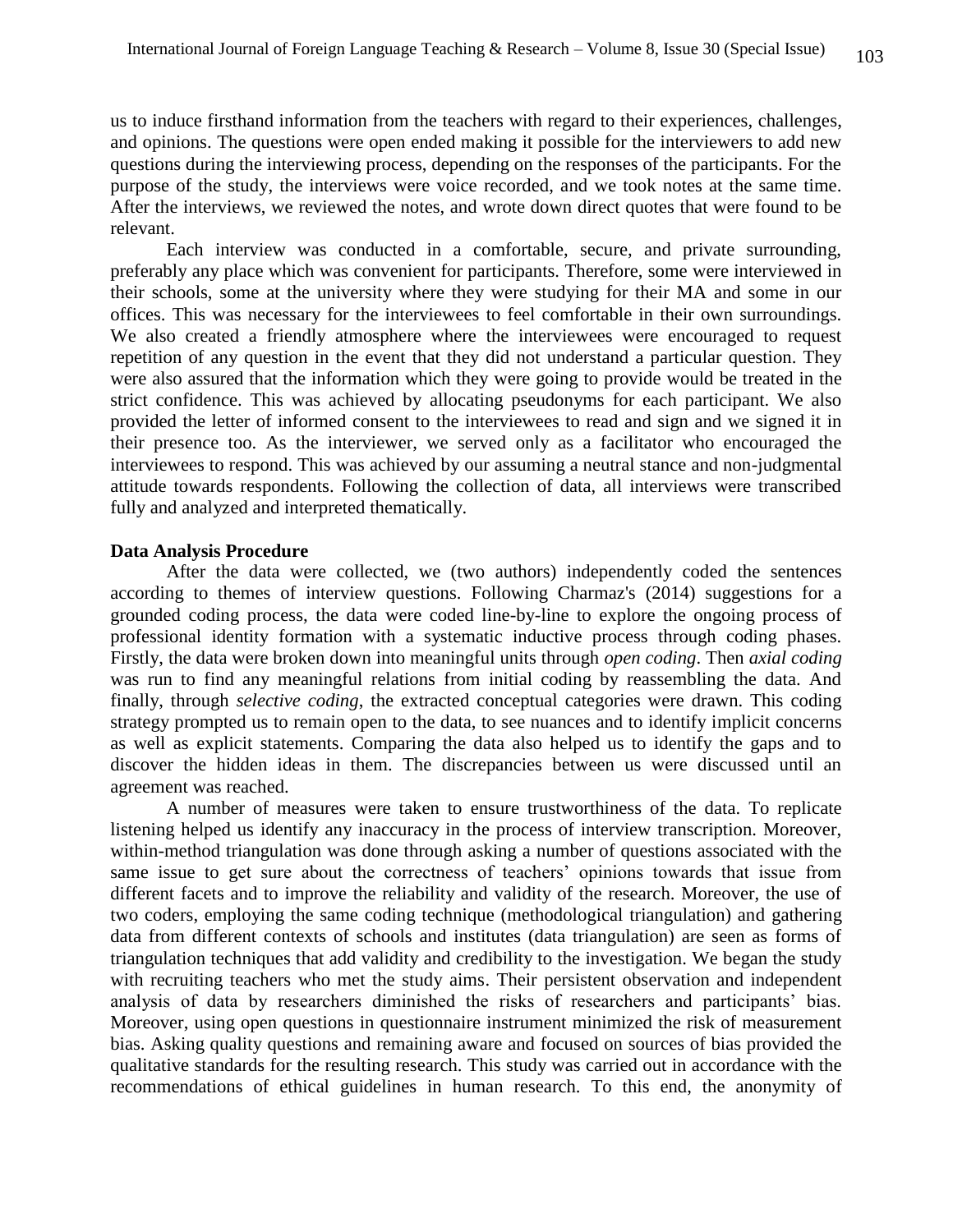us to induce firsthand information from the teachers with regard to their experiences, challenges, and opinions. The questions were open ended making it possible for the interviewers to add new questions during the interviewing process, depending on the responses of the participants. For the purpose of the study, the interviews were voice recorded, and we took notes at the same time. After the interviews, we reviewed the notes, and wrote down direct quotes that were found to be relevant.

Each interview was conducted in a comfortable, secure, and private surrounding, preferably any place which was convenient for participants. Therefore, some were interviewed in their schools, some at the university where they were studying for their MA and some in our offices. This was necessary for the interviewees to feel comfortable in their own surroundings. We also created a friendly atmosphere where the interviewees were encouraged to request repetition of any question in the event that they did not understand a particular question. They were also assured that the information which they were going to provide would be treated in the strict confidence. This was achieved by allocating pseudonyms for each participant. We also provided the letter of informed consent to the interviewees to read and sign and we signed it in their presence too. As the interviewer, we served only as a facilitator who encouraged the interviewees to respond. This was achieved by our assuming a neutral stance and non-judgmental attitude towards respondents. Following the collection of data, all interviews were transcribed fully and analyzed and interpreted thematically.

#### **Data Analysis Procedure**

After the data were collected, we (two authors) independently coded the sentences according to themes of interview questions. Following Charmaz's (2014) suggestions for a grounded coding process, the data were coded line-by-line to explore the ongoing process of professional identity formation with a systematic inductive process through coding phases. Firstly, the data were broken down into meaningful units through *open coding*. Then *axial coding* was run to find any meaningful relations from initial coding by reassembling the data. And finally, through *selective coding*, the extracted conceptual categories were drawn. This coding strategy prompted us to remain open to the data, to see nuances and to identify implicit concerns as well as explicit statements. Comparing the data also helped us to identify the gaps and to discover the hidden ideas in them. The discrepancies between us were discussed until an agreement was reached.

A number of measures were taken to ensure trustworthiness of the data. To replicate listening helped us identify any inaccuracy in the process of interview transcription. Moreover, within-method triangulation was done through asking a number of questions associated with the same issue to get sure about the correctness of teachers' opinions towards that issue from different facets and to improve the reliability and validity of the research. Moreover, the use of two coders, employing the same coding technique (methodological triangulation) and gathering data from different contexts of schools and institutes (data triangulation) are seen as forms of triangulation techniques that add validity and credibility to the investigation. We began the study with recruiting teachers who met the study aims. Their persistent observation and independent analysis of data by researchers diminished the risks of researchers and participants' bias. Moreover, using open questions in questionnaire instrument minimized the risk of measurement bias. Asking quality questions and remaining aware and focused on sources of bias provided the qualitative standards for the resulting research. This study was carried out in accordance with the recommendations of ethical guidelines in human research. To this end, the anonymity of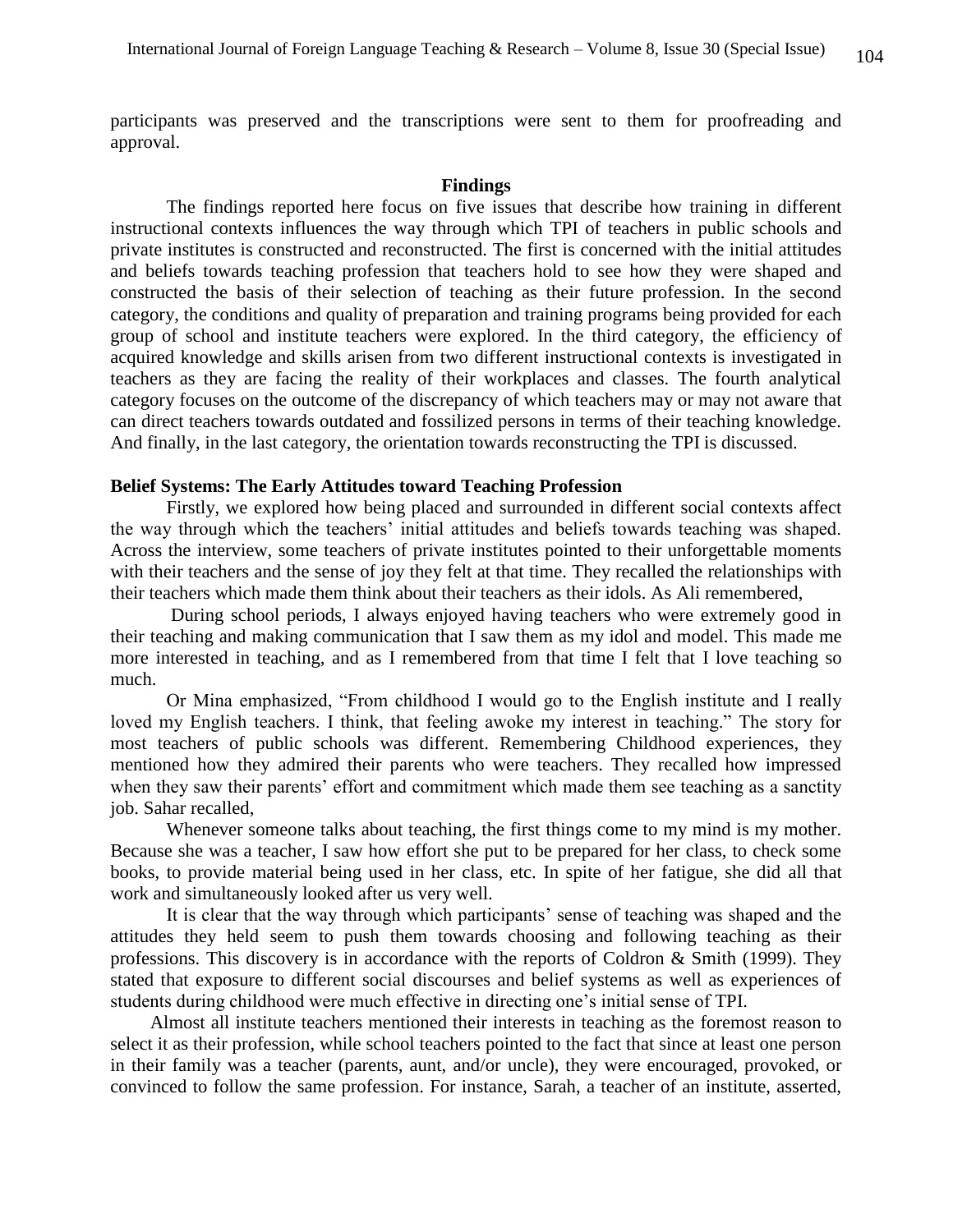participants was preserved and the transcriptions were sent to them for proofreading and approval.

#### **Findings**

The findings reported here focus on five issues that describe how training in different instructional contexts influences the way through which TPI of teachers in public schools and private institutes is constructed and reconstructed. The first is concerned with the initial attitudes and beliefs towards teaching profession that teachers hold to see how they were shaped and constructed the basis of their selection of teaching as their future profession. In the second category, the conditions and quality of preparation and training programs being provided for each group of school and institute teachers were explored. In the third category, the efficiency of acquired knowledge and skills arisen from two different instructional contexts is investigated in teachers as they are facing the reality of their workplaces and classes. The fourth analytical category focuses on the outcome of the discrepancy of which teachers may or may not aware that can direct teachers towards outdated and fossilized persons in terms of their teaching knowledge. And finally, in the last category, the orientation towards reconstructing the TPI is discussed.

#### **Belief Systems: The Early Attitudes toward Teaching Profession**

Firstly, we explored how being placed and surrounded in different social contexts affect the way through which the teachers' initial attitudes and beliefs towards teaching was shaped. Across the interview, some teachers of private institutes pointed to their unforgettable moments with their teachers and the sense of joy they felt at that time. They recalled the relationships with their teachers which made them think about their teachers as their idols. As Ali remembered,

During school periods, I always enjoyed having teachers who were extremely good in their teaching and making communication that I saw them as my idol and model. This made me more interested in teaching, and as I remembered from that time I felt that I love teaching so much.

Or Mina emphasized, "From childhood I would go to the English institute and I really loved my English teachers. I think, that feeling awoke my interest in teaching." The story for most teachers of public schools was different. Remembering Childhood experiences, they mentioned how they admired their parents who were teachers. They recalled how impressed when they saw their parents' effort and commitment which made them see teaching as a sanctity job. Sahar recalled,

Whenever someone talks about teaching, the first things come to my mind is my mother. Because she was a teacher, I saw how effort she put to be prepared for her class, to check some books, to provide material being used in her class, etc. In spite of her fatigue, she did all that work and simultaneously looked after us very well.

It is clear that the way through which participants' sense of teaching was shaped and the attitudes they held seem to push them towards choosing and following teaching as their professions. This discovery is in accordance with the reports of Coldron & Smith (1999). They stated that exposure to different social discourses and belief systems as well as experiences of students during childhood were much effective in directing one's initial sense of TPI.

Almost all institute teachers mentioned their interests in teaching as the foremost reason to select it as their profession, while school teachers pointed to the fact that since at least one person in their family was a teacher (parents, aunt, and/or uncle), they were encouraged, provoked, or convinced to follow the same profession. For instance, Sarah, a teacher of an institute, asserted,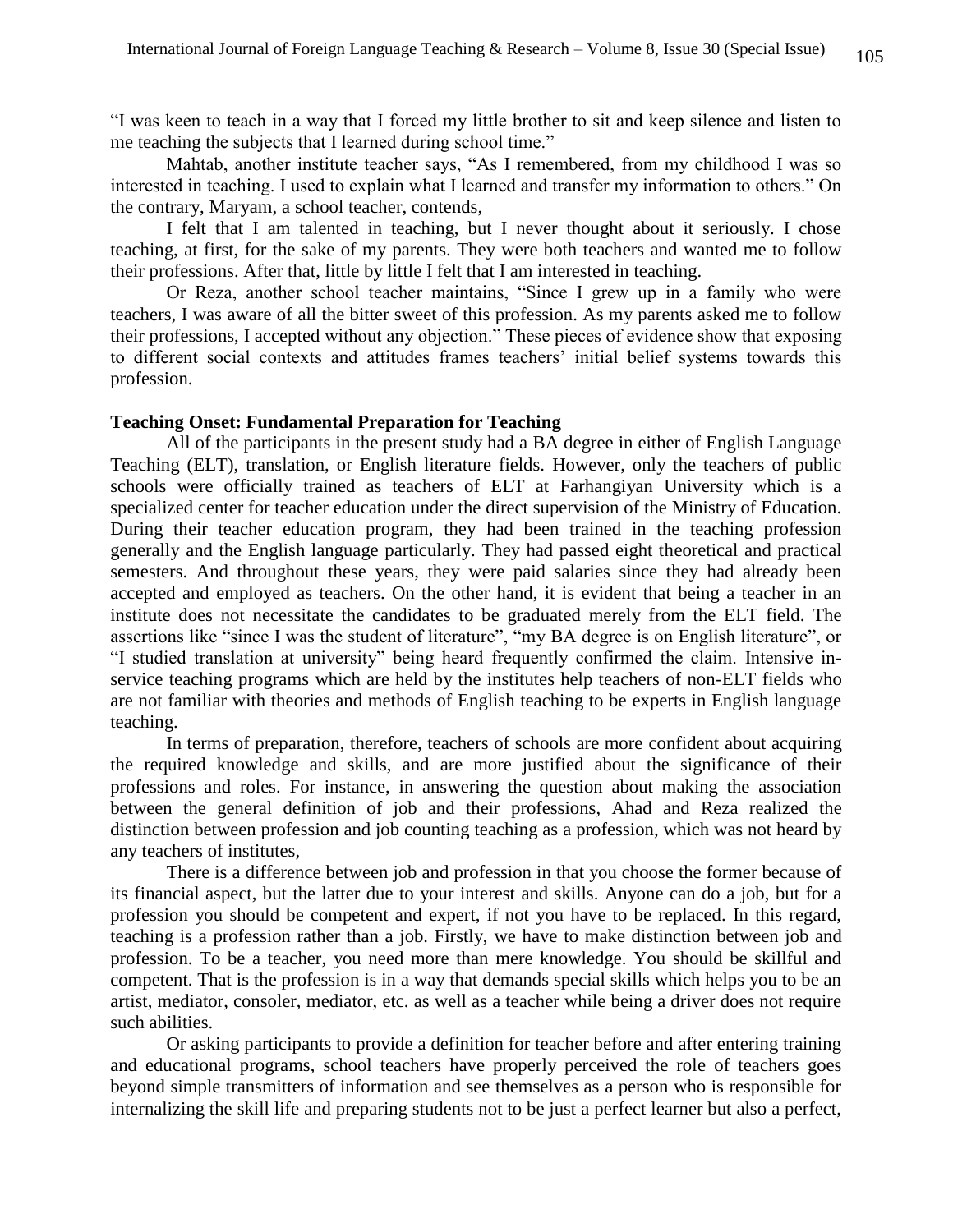"I was keen to teach in a way that I forced my little brother to sit and keep silence and listen to me teaching the subjects that I learned during school time."

Mahtab, another institute teacher says, "As I remembered, from my childhood I was so interested in teaching. I used to explain what I learned and transfer my information to others." On the contrary, Maryam, a school teacher, contends,

I felt that I am talented in teaching, but I never thought about it seriously. I chose teaching, at first, for the sake of my parents. They were both teachers and wanted me to follow their professions. After that, little by little I felt that I am interested in teaching.

Or Reza, another school teacher maintains, "Since I grew up in a family who were teachers, I was aware of all the bitter sweet of this profession. As my parents asked me to follow their professions, I accepted without any objection." These pieces of evidence show that exposing to different social contexts and attitudes frames teachers' initial belief systems towards this profession.

#### **Teaching Onset: Fundamental Preparation for Teaching**

All of the participants in the present study had a BA degree in either of English Language Teaching (ELT), translation, or English literature fields. However, only the teachers of public schools were officially trained as teachers of ELT at Farhangiyan University which is a specialized center for teacher education under the direct supervision of the Ministry of Education. During their teacher education program, they had been trained in the teaching profession generally and the English language particularly. They had passed eight theoretical and practical semesters. And throughout these years, they were paid salaries since they had already been accepted and employed as teachers. On the other hand, it is evident that being a teacher in an institute does not necessitate the candidates to be graduated merely from the ELT field. The assertions like "since I was the student of literature", "my BA degree is on English literature", or "I studied translation at university" being heard frequently confirmed the claim. Intensive inservice teaching programs which are held by the institutes help teachers of non-ELT fields who are not familiar with theories and methods of English teaching to be experts in English language teaching.

In terms of preparation, therefore, teachers of schools are more confident about acquiring the required knowledge and skills, and are more justified about the significance of their professions and roles. For instance, in answering the question about making the association between the general definition of job and their professions, Ahad and Reza realized the distinction between profession and job counting teaching as a profession, which was not heard by any teachers of institutes,

There is a difference between job and profession in that you choose the former because of its financial aspect, but the latter due to your interest and skills. Anyone can do a job, but for a profession you should be competent and expert, if not you have to be replaced. In this regard, teaching is a profession rather than a job. Firstly, we have to make distinction between job and profession. To be a teacher, you need more than mere knowledge. You should be skillful and competent. That is the profession is in a way that demands special skills which helps you to be an artist, mediator, consoler, mediator, etc. as well as a teacher while being a driver does not require such abilities.

Or asking participants to provide a definition for teacher before and after entering training and educational programs, school teachers have properly perceived the role of teachers goes beyond simple transmitters of information and see themselves as a person who is responsible for internalizing the skill life and preparing students not to be just a perfect learner but also a perfect,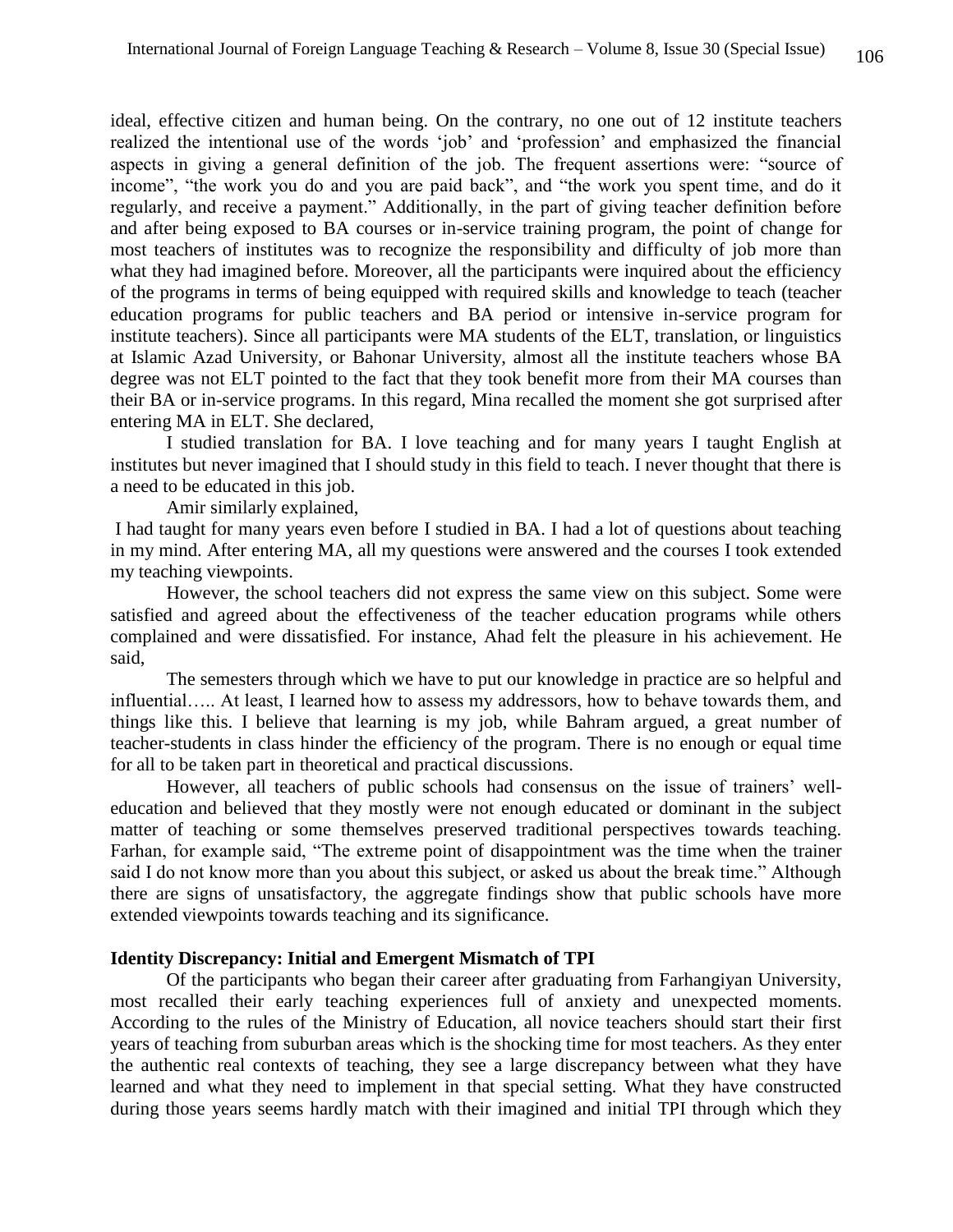ideal, effective citizen and human being. On the contrary, no one out of 12 institute teachers realized the intentional use of the words 'job' and 'profession' and emphasized the financial aspects in giving a general definition of the job. The frequent assertions were: "source of income", "the work you do and you are paid back", and "the work you spent time, and do it regularly, and receive a payment." Additionally, in the part of giving teacher definition before and after being exposed to BA courses or in-service training program, the point of change for most teachers of institutes was to recognize the responsibility and difficulty of job more than what they had imagined before. Moreover, all the participants were inquired about the efficiency of the programs in terms of being equipped with required skills and knowledge to teach (teacher education programs for public teachers and BA period or intensive in-service program for institute teachers). Since all participants were MA students of the ELT, translation, or linguistics at Islamic Azad University, or Bahonar University, almost all the institute teachers whose BA degree was not ELT pointed to the fact that they took benefit more from their MA courses than their BA or in-service programs. In this regard, Mina recalled the moment she got surprised after entering MA in ELT. She declared,

I studied translation for BA. I love teaching and for many years I taught English at institutes but never imagined that I should study in this field to teach. I never thought that there is a need to be educated in this job.

Amir similarly explained,

I had taught for many years even before I studied in BA. I had a lot of questions about teaching in my mind. After entering MA, all my questions were answered and the courses I took extended my teaching viewpoints.

However, the school teachers did not express the same view on this subject. Some were satisfied and agreed about the effectiveness of the teacher education programs while others complained and were dissatisfied. For instance, Ahad felt the pleasure in his achievement. He said,

The semesters through which we have to put our knowledge in practice are so helpful and influential….. At least, I learned how to assess my addressors, how to behave towards them, and things like this. I believe that learning is my job, while Bahram argued, a great number of teacher-students in class hinder the efficiency of the program. There is no enough or equal time for all to be taken part in theoretical and practical discussions.

However, all teachers of public schools had consensus on the issue of trainers' welleducation and believed that they mostly were not enough educated or dominant in the subject matter of teaching or some themselves preserved traditional perspectives towards teaching. Farhan, for example said, "The extreme point of disappointment was the time when the trainer said I do not know more than you about this subject, or asked us about the break time." Although there are signs of unsatisfactory, the aggregate findings show that public schools have more extended viewpoints towards teaching and its significance.

### **Identity Discrepancy: Initial and Emergent Mismatch of TPI**

Of the participants who began their career after graduating from Farhangiyan University, most recalled their early teaching experiences full of anxiety and unexpected moments. According to the rules of the Ministry of Education, all novice teachers should start their first years of teaching from suburban areas which is the shocking time for most teachers. As they enter the authentic real contexts of teaching, they see a large discrepancy between what they have learned and what they need to implement in that special setting. What they have constructed during those years seems hardly match with their imagined and initial TPI through which they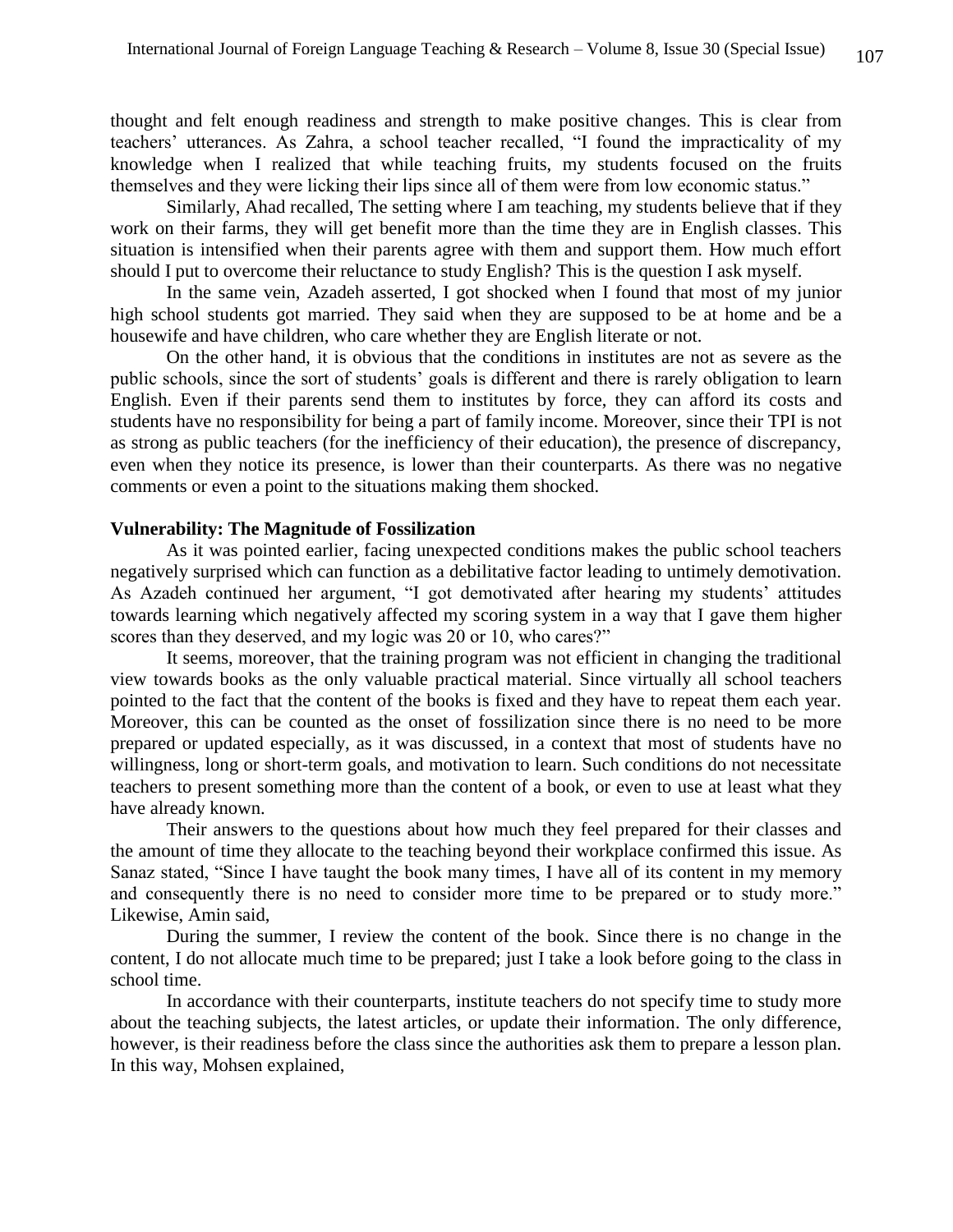thought and felt enough readiness and strength to make positive changes. This is clear from teachers' utterances. As Zahra, a school teacher recalled, "I found the impracticality of my knowledge when I realized that while teaching fruits, my students focused on the fruits themselves and they were licking their lips since all of them were from low economic status."

Similarly, Ahad recalled, The setting where I am teaching, my students believe that if they work on their farms, they will get benefit more than the time they are in English classes. This situation is intensified when their parents agree with them and support them. How much effort should I put to overcome their reluctance to study English? This is the question I ask myself.

In the same vein, Azadeh asserted, I got shocked when I found that most of my junior high school students got married. They said when they are supposed to be at home and be a housewife and have children, who care whether they are English literate or not.

On the other hand, it is obvious that the conditions in institutes are not as severe as the public schools, since the sort of students' goals is different and there is rarely obligation to learn English. Even if their parents send them to institutes by force, they can afford its costs and students have no responsibility for being a part of family income. Moreover, since their TPI is not as strong as public teachers (for the inefficiency of their education), the presence of discrepancy, even when they notice its presence, is lower than their counterparts. As there was no negative comments or even a point to the situations making them shocked.

#### **Vulnerability: The Magnitude of Fossilization**

As it was pointed earlier, facing unexpected conditions makes the public school teachers negatively surprised which can function as a debilitative factor leading to untimely demotivation. As Azadeh continued her argument, "I got demotivated after hearing my students' attitudes towards learning which negatively affected my scoring system in a way that I gave them higher scores than they deserved, and my logic was 20 or 10, who cares?"

It seems, moreover, that the training program was not efficient in changing the traditional view towards books as the only valuable practical material. Since virtually all school teachers pointed to the fact that the content of the books is fixed and they have to repeat them each year. Moreover, this can be counted as the onset of fossilization since there is no need to be more prepared or updated especially, as it was discussed, in a context that most of students have no willingness, long or short-term goals, and motivation to learn. Such conditions do not necessitate teachers to present something more than the content of a book, or even to use at least what they have already known.

Their answers to the questions about how much they feel prepared for their classes and the amount of time they allocate to the teaching beyond their workplace confirmed this issue. As Sanaz stated, "Since I have taught the book many times, I have all of its content in my memory and consequently there is no need to consider more time to be prepared or to study more." Likewise, Amin said,

During the summer, I review the content of the book. Since there is no change in the content, I do not allocate much time to be prepared; just I take a look before going to the class in school time.

In accordance with their counterparts, institute teachers do not specify time to study more about the teaching subjects, the latest articles, or update their information. The only difference, however, is their readiness before the class since the authorities ask them to prepare a lesson plan. In this way, Mohsen explained,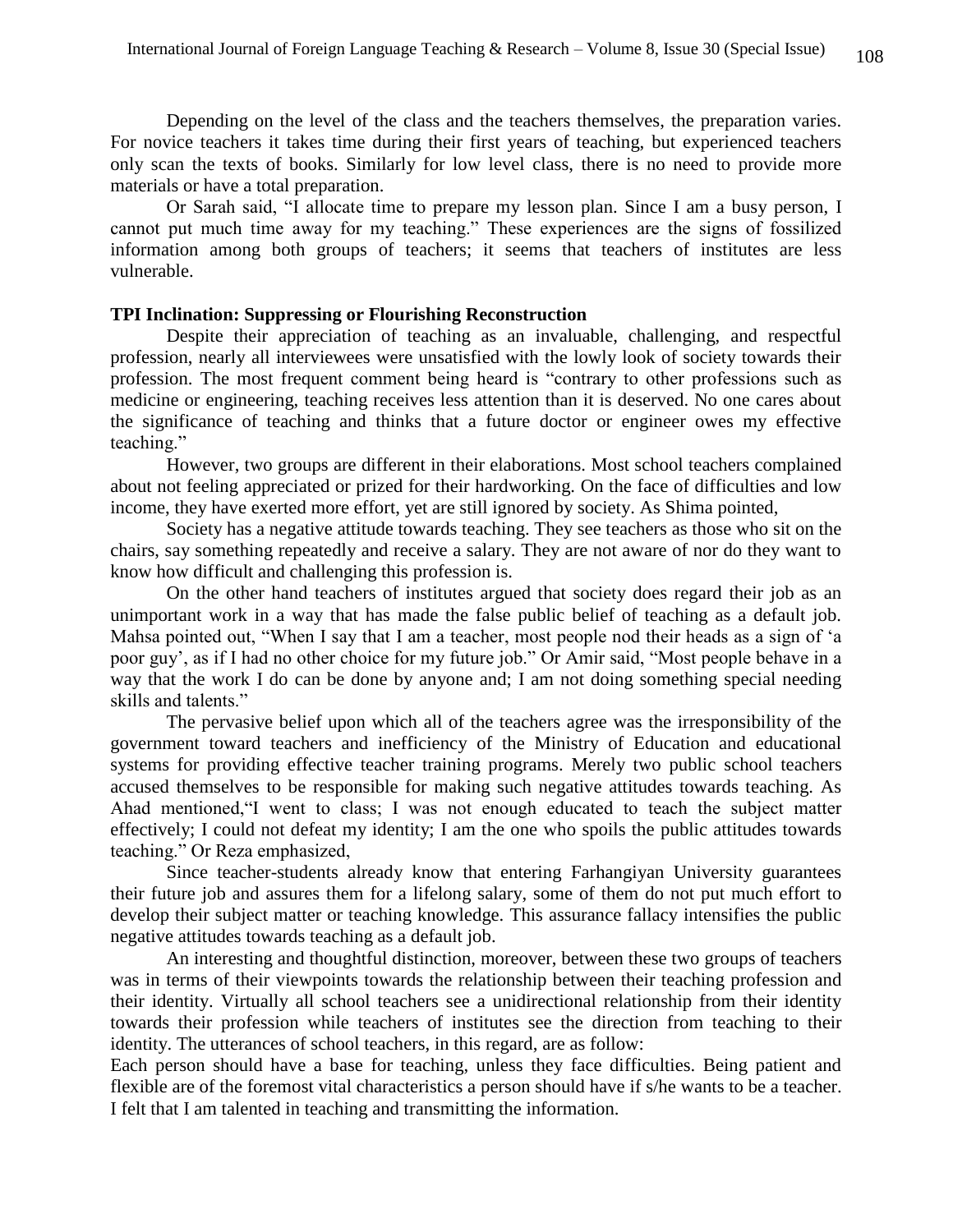Depending on the level of the class and the teachers themselves, the preparation varies. For novice teachers it takes time during their first years of teaching, but experienced teachers only scan the texts of books. Similarly for low level class, there is no need to provide more materials or have a total preparation.

Or Sarah said, "I allocate time to prepare my lesson plan. Since I am a busy person, I cannot put much time away for my teaching." These experiences are the signs of fossilized information among both groups of teachers; it seems that teachers of institutes are less vulnerable.

#### **TPI Inclination: Suppressing or Flourishing Reconstruction**

Despite their appreciation of teaching as an invaluable, challenging, and respectful profession, nearly all interviewees were unsatisfied with the lowly look of society towards their profession. The most frequent comment being heard is "contrary to other professions such as medicine or engineering, teaching receives less attention than it is deserved. No one cares about the significance of teaching and thinks that a future doctor or engineer owes my effective teaching."

However, two groups are different in their elaborations. Most school teachers complained about not feeling appreciated or prized for their hardworking. On the face of difficulties and low income, they have exerted more effort, yet are still ignored by society. As Shima pointed,

Society has a negative attitude towards teaching. They see teachers as those who sit on the chairs, say something repeatedly and receive a salary. They are not aware of nor do they want to know how difficult and challenging this profession is.

On the other hand teachers of institutes argued that society does regard their job as an unimportant work in a way that has made the false public belief of teaching as a default job. Mahsa pointed out, "When I say that I am a teacher, most people nod their heads as a sign of 'a poor guy', as if I had no other choice for my future job." Or Amir said, "Most people behave in a way that the work I do can be done by anyone and; I am not doing something special needing skills and talents."

The pervasive belief upon which all of the teachers agree was the irresponsibility of the government toward teachers and inefficiency of the Ministry of Education and educational systems for providing effective teacher training programs. Merely two public school teachers accused themselves to be responsible for making such negative attitudes towards teaching. As Ahad mentioned,"I went to class; I was not enough educated to teach the subject matter effectively; I could not defeat my identity; I am the one who spoils the public attitudes towards teaching." Or Reza emphasized,

Since teacher-students already know that entering Farhangiyan University guarantees their future job and assures them for a lifelong salary, some of them do not put much effort to develop their subject matter or teaching knowledge. This assurance fallacy intensifies the public negative attitudes towards teaching as a default job.

An interesting and thoughtful distinction, moreover, between these two groups of teachers was in terms of their viewpoints towards the relationship between their teaching profession and their identity. Virtually all school teachers see a unidirectional relationship from their identity towards their profession while teachers of institutes see the direction from teaching to their identity. The utterances of school teachers, in this regard, are as follow:

Each person should have a base for teaching, unless they face difficulties. Being patient and flexible are of the foremost vital characteristics a person should have if s/he wants to be a teacher. I felt that I am talented in teaching and transmitting the information.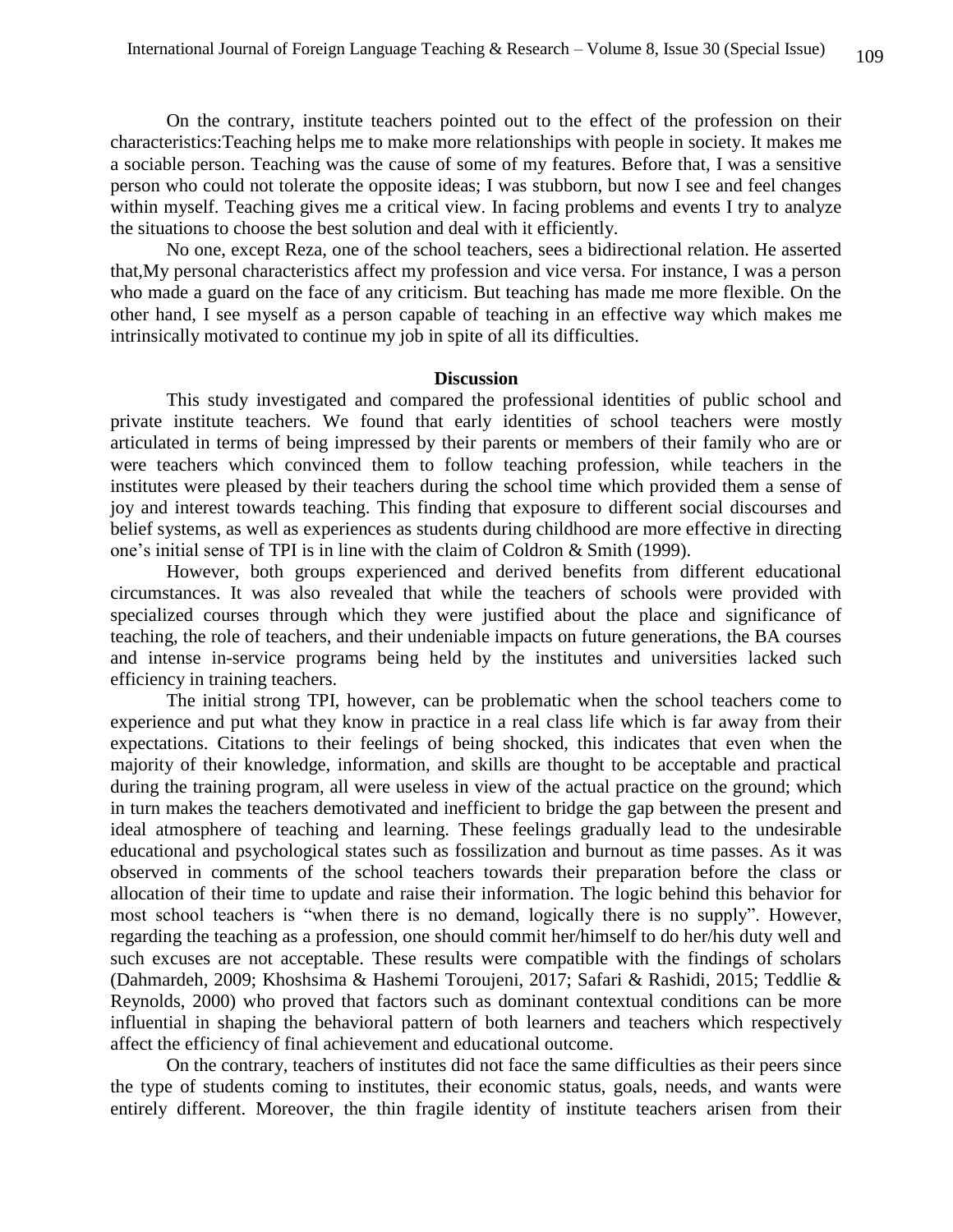On the contrary, institute teachers pointed out to the effect of the profession on their characteristics:Teaching helps me to make more relationships with people in society. It makes me a sociable person. Teaching was the cause of some of my features. Before that, I was a sensitive person who could not tolerate the opposite ideas; I was stubborn, but now I see and feel changes within myself. Teaching gives me a critical view. In facing problems and events I try to analyze the situations to choose the best solution and deal with it efficiently.

No one, except Reza, one of the school teachers, sees a bidirectional relation. He asserted that,My personal characteristics affect my profession and vice versa. For instance, I was a person who made a guard on the face of any criticism. But teaching has made me more flexible. On the other hand, I see myself as a person capable of teaching in an effective way which makes me intrinsically motivated to continue my job in spite of all its difficulties.

#### **Discussion**

This study investigated and compared the professional identities of public school and private institute teachers. We found that early identities of school teachers were mostly articulated in terms of being impressed by their parents or members of their family who are or were teachers which convinced them to follow teaching profession, while teachers in the institutes were pleased by their teachers during the school time which provided them a sense of joy and interest towards teaching. This finding that exposure to different social discourses and belief systems, as well as experiences as students during childhood are more effective in directing one's initial sense of TPI is in line with the claim of Coldron & Smith (1999).

However, both groups experienced and derived benefits from different educational circumstances. It was also revealed that while the teachers of schools were provided with specialized courses through which they were justified about the place and significance of teaching, the role of teachers, and their undeniable impacts on future generations, the BA courses and intense in-service programs being held by the institutes and universities lacked such efficiency in training teachers.

The initial strong TPI, however, can be problematic when the school teachers come to experience and put what they know in practice in a real class life which is far away from their expectations. Citations to their feelings of being shocked, this indicates that even when the majority of their knowledge, information, and skills are thought to be acceptable and practical during the training program, all were useless in view of the actual practice on the ground; which in turn makes the teachers demotivated and inefficient to bridge the gap between the present and ideal atmosphere of teaching and learning. These feelings gradually lead to the undesirable educational and psychological states such as fossilization and burnout as time passes. As it was observed in comments of the school teachers towards their preparation before the class or allocation of their time to update and raise their information. The logic behind this behavior for most school teachers is "when there is no demand, logically there is no supply". However, regarding the teaching as a profession, one should commit her/himself to do her/his duty well and such excuses are not acceptable. These results were compatible with the findings of scholars (Dahmardeh, 2009; Khoshsima & Hashemi Toroujeni, 2017; Safari & Rashidi, 2015; Teddlie & Reynolds, 2000) who proved that factors such as dominant contextual conditions can be more influential in shaping the behavioral pattern of both learners and teachers which respectively affect the efficiency of final achievement and educational outcome.

On the contrary, teachers of institutes did not face the same difficulties as their peers since the type of students coming to institutes, their economic status, goals, needs, and wants were entirely different. Moreover, the thin fragile identity of institute teachers arisen from their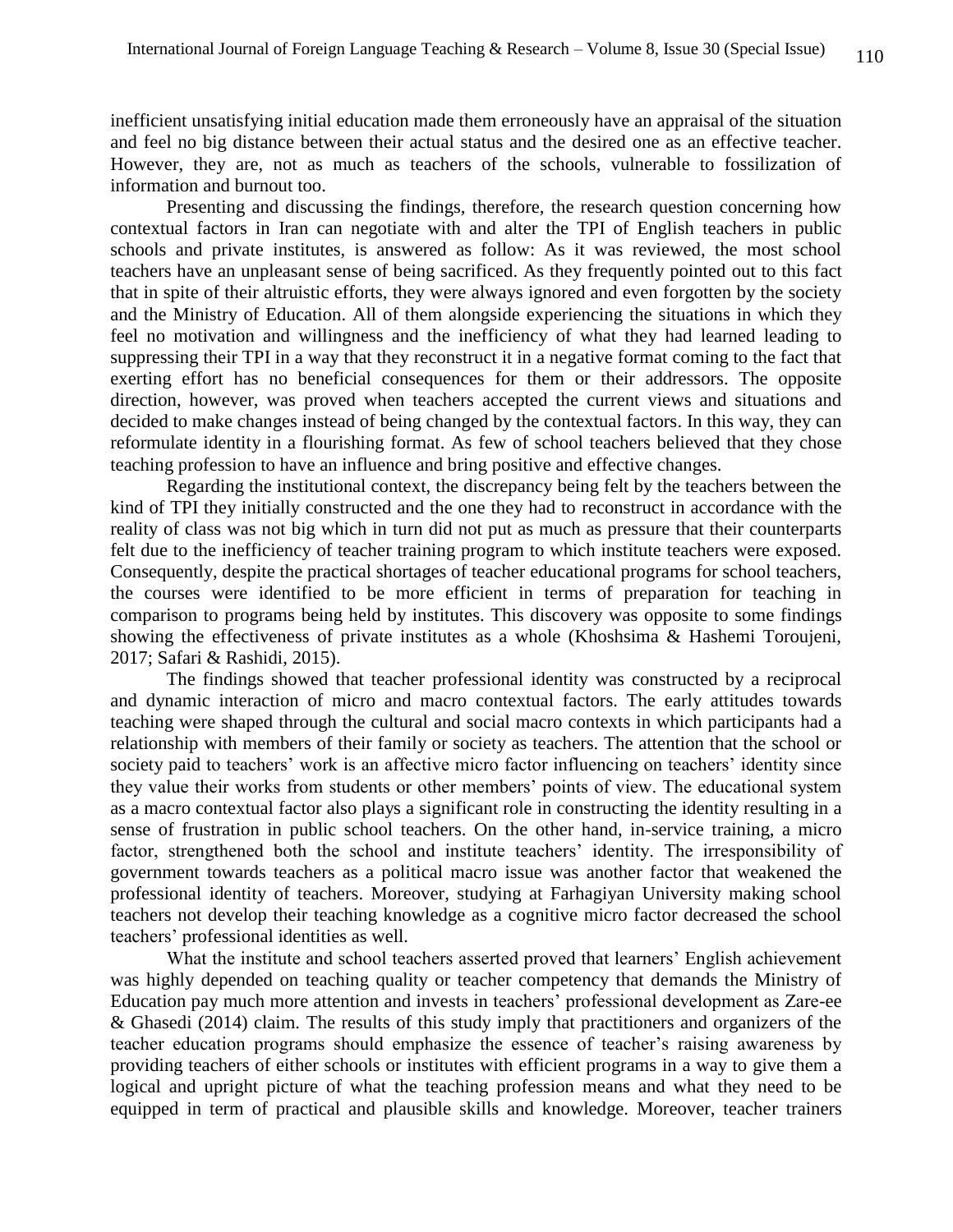inefficient unsatisfying initial education made them erroneously have an appraisal of the situation and feel no big distance between their actual status and the desired one as an effective teacher. However, they are, not as much as teachers of the schools, vulnerable to fossilization of information and burnout too.

Presenting and discussing the findings, therefore, the research question concerning how contextual factors in Iran can negotiate with and alter the TPI of English teachers in public schools and private institutes, is answered as follow: As it was reviewed, the most school teachers have an unpleasant sense of being sacrificed. As they frequently pointed out to this fact that in spite of their altruistic efforts, they were always ignored and even forgotten by the society and the Ministry of Education. All of them alongside experiencing the situations in which they feel no motivation and willingness and the inefficiency of what they had learned leading to suppressing their TPI in a way that they reconstruct it in a negative format coming to the fact that exerting effort has no beneficial consequences for them or their addressors. The opposite direction, however, was proved when teachers accepted the current views and situations and decided to make changes instead of being changed by the contextual factors. In this way, they can reformulate identity in a flourishing format. As few of school teachers believed that they chose teaching profession to have an influence and bring positive and effective changes.

Regarding the institutional context, the discrepancy being felt by the teachers between the kind of TPI they initially constructed and the one they had to reconstruct in accordance with the reality of class was not big which in turn did not put as much as pressure that their counterparts felt due to the inefficiency of teacher training program to which institute teachers were exposed. Consequently, despite the practical shortages of teacher educational programs for school teachers, the courses were identified to be more efficient in terms of preparation for teaching in comparison to programs being held by institutes. This discovery was opposite to some findings showing the effectiveness of private institutes as a whole (Khoshsima & Hashemi Toroujeni, 2017; Safari & Rashidi, 2015).

The findings showed that teacher professional identity was constructed by a reciprocal and dynamic interaction of micro and macro contextual factors. The early attitudes towards teaching were shaped through the cultural and social macro contexts in which participants had a relationship with members of their family or society as teachers. The attention that the school or society paid to teachers' work is an affective micro factor influencing on teachers' identity since they value their works from students or other members' points of view. The educational system as a macro contextual factor also plays a significant role in constructing the identity resulting in a sense of frustration in public school teachers. On the other hand, in-service training, a micro factor, strengthened both the school and institute teachers' identity. The irresponsibility of government towards teachers as a political macro issue was another factor that weakened the professional identity of teachers. Moreover, studying at Farhagiyan University making school teachers not develop their teaching knowledge as a cognitive micro factor decreased the school teachers' professional identities as well.

What the institute and school teachers asserted proved that learners' English achievement was highly depended on teaching quality or teacher competency that demands the Ministry of Education pay much more attention and invests in teachers' professional development as Zare-ee & Ghasedi (2014) claim. The results of this study imply that practitioners and organizers of the teacher education programs should emphasize the essence of teacher's raising awareness by providing teachers of either schools or institutes with efficient programs in a way to give them a logical and upright picture of what the teaching profession means and what they need to be equipped in term of practical and plausible skills and knowledge. Moreover, teacher trainers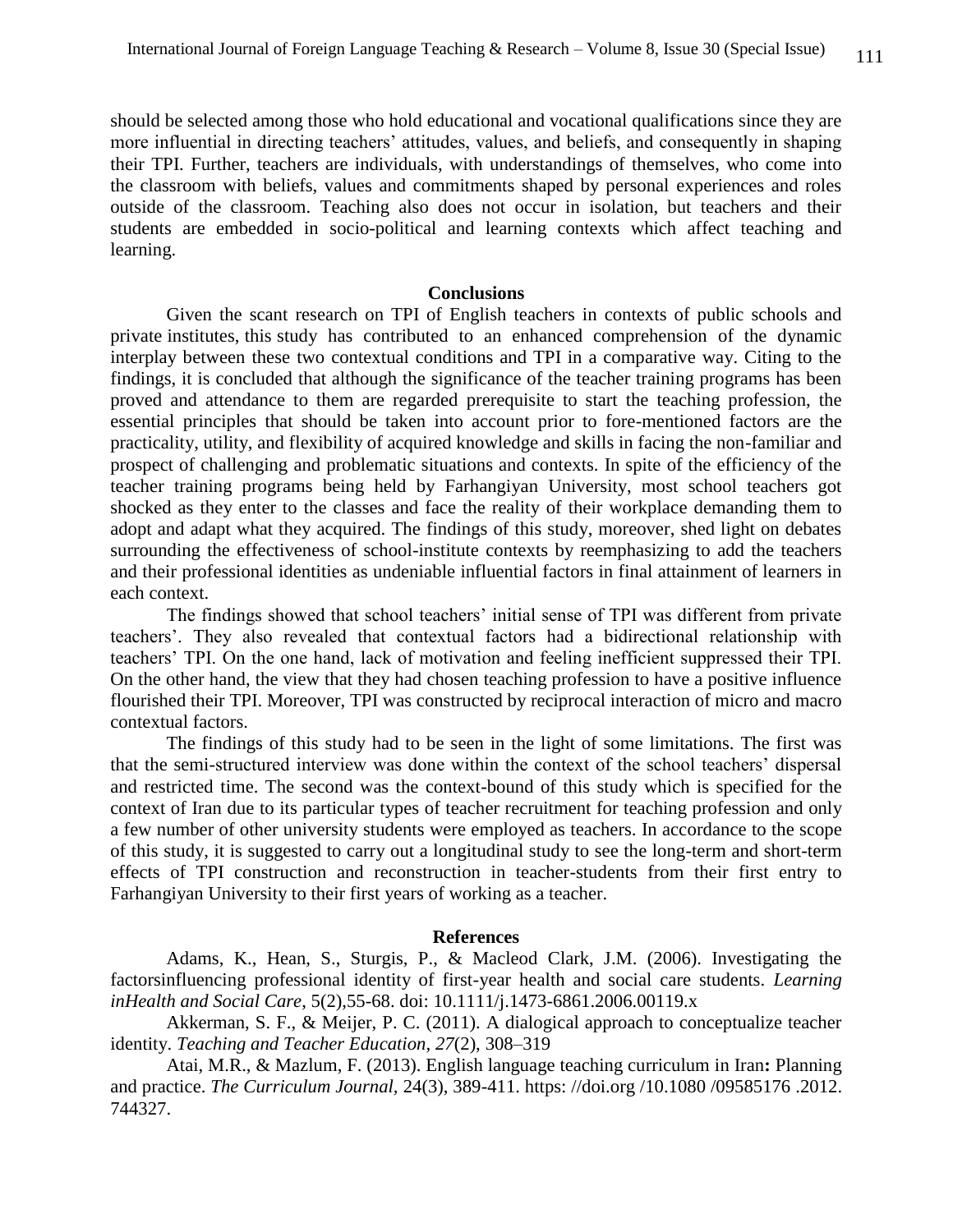should be selected among those who hold educational and vocational qualifications since they are more influential in directing teachers' attitudes, values, and beliefs, and consequently in shaping their TPI. Further, teachers are individuals, with understandings of themselves, who come into the classroom with beliefs, values and commitments shaped by personal experiences and roles outside of the classroom. Teaching also does not occur in isolation, but teachers and their students are embedded in socio-political and learning contexts which affect teaching and learning.

#### **Conclusions**

Given the scant research on TPI of English teachers in contexts of public schools and private institutes, this study has contributed to an enhanced comprehension of the dynamic interplay between these two contextual conditions and TPI in a comparative way. Citing to the findings, it is concluded that although the significance of the teacher training programs has been proved and attendance to them are regarded prerequisite to start the teaching profession, the essential principles that should be taken into account prior to fore-mentioned factors are the practicality, utility, and flexibility of acquired knowledge and skills in facing the non-familiar and prospect of challenging and problematic situations and contexts. In spite of the efficiency of the teacher training programs being held by Farhangiyan University, most school teachers got shocked as they enter to the classes and face the reality of their workplace demanding them to adopt and adapt what they acquired. The findings of this study, moreover, shed light on debates surrounding the effectiveness of school-institute contexts by reemphasizing to add the teachers and their professional identities as undeniable influential factors in final attainment of learners in each context.

The findings showed that school teachers' initial sense of TPI was different from private teachers'. They also revealed that contextual factors had a bidirectional relationship with teachers' TPI. On the one hand, lack of motivation and feeling inefficient suppressed their TPI. On the other hand, the view that they had chosen teaching profession to have a positive influence flourished their TPI. Moreover, TPI was constructed by reciprocal interaction of micro and macro contextual factors.

The findings of this study had to be seen in the light of some limitations. The first was that the semi-structured interview was done within the context of the school teachers' dispersal and restricted time. The second was the context-bound of this study which is specified for the context of Iran due to its particular types of teacher recruitment for teaching profession and only a few number of other university students were employed as teachers. In accordance to the scope of this study, it is suggested to carry out a longitudinal study to see the long-term and short-term effects of TPI construction and reconstruction in teacher-students from their first entry to Farhangiyan University to their first years of working as a teacher.

#### **References**

Adams, K., Hean, S., Sturgis, P., & Macleod Clark, J.M. (2006). Investigating the factorsinfluencing professional identity of first-year health and social care students. *Learning inHealth and Social Care*, 5(2),55-68. doi: 10.1111/j.1473-6861.2006.00119.x

Akkerman, S. F., & Meijer, P. C. (2011). A dialogical approach to conceptualize teacher identity. *Teaching and Teacher Education, 27*(2), 308–319

Atai, M.R., & Mazlum, F. (2013). English language teaching curriculum in Iran**:** Planning and practice. *The Curriculum Journal,* 24(3), 389-411. https: //doi.org /10.1080 /09585176 .2012. 744327.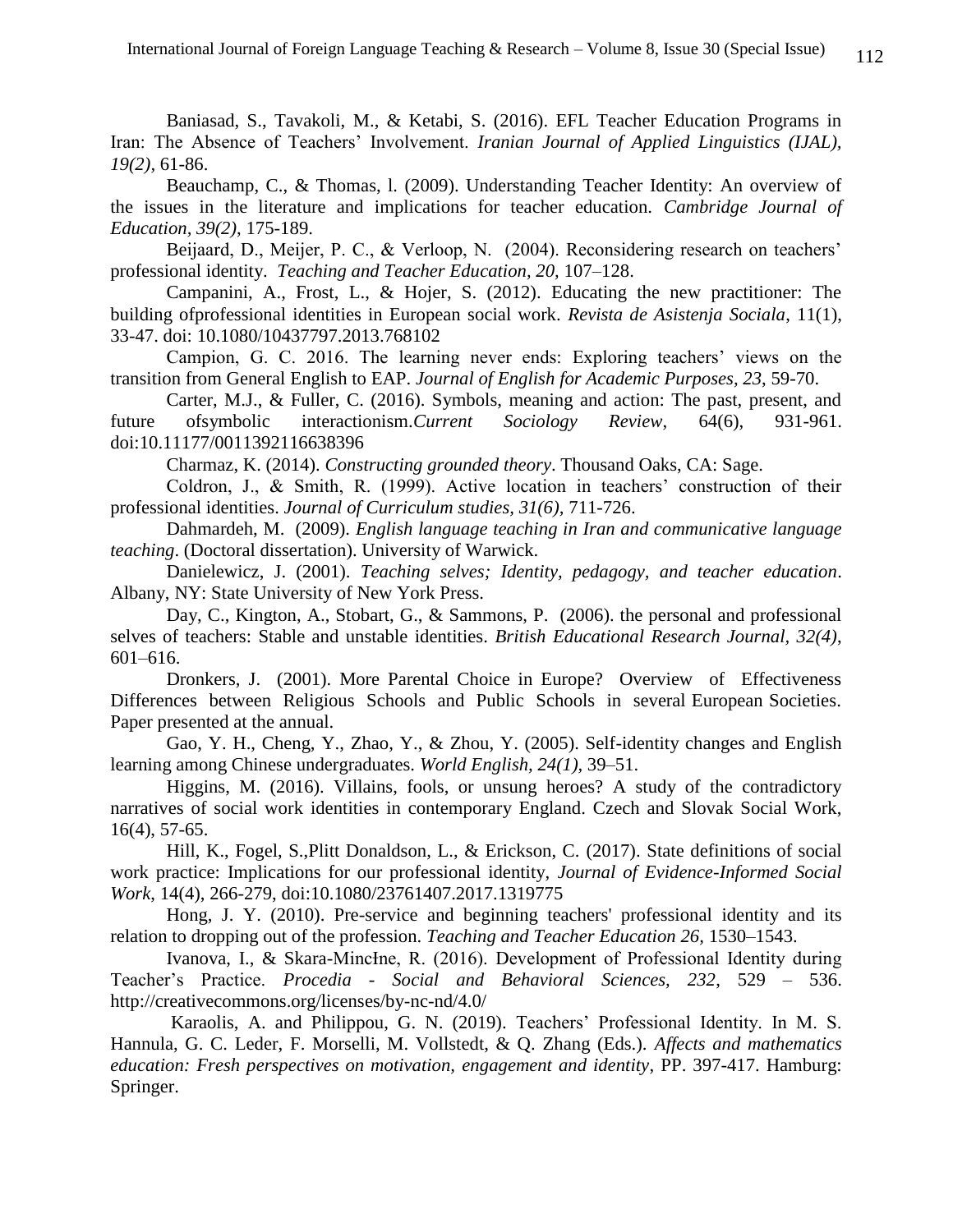Baniasad, S., Tavakoli, M., & Ketabi, S. (2016). EFL Teacher Education Programs in Iran: The Absence of Teachers' Involvement. *Iranian Journal of Applied Linguistics (IJAL), 19(2),* 61-86.

Beauchamp, C., & Thomas, l. (2009). Understanding Teacher Identity: An overview of the issues in the literature and implications for teacher education. *Cambridge Journal of Education, 39(2)*, 175-189.

Beijaard, D., Meijer, P. C., & Verloop, N. (2004). Reconsidering research on teachers' professional identity. *Teaching and Teacher Education, 20,* 107–128.

Campanini, A., Frost, L., & Hojer, S. (2012). Educating the new practitioner: The building ofprofessional identities in European social work. *Revista de Asistenja Sociala*, 11(1), 33-47. doi: 10.1080/10437797.2013.768102

Campion, G. C. 2016. The learning never ends: Exploring teachers' views on the transition from General English to EAP. *Journal of English for Academic Purposes, 23*, 59-70.

Carter, M.J., & Fuller, C. (2016). Symbols, meaning and action: The past, present, and future ofsymbolic interactionism.*Current Sociology Review*, 64(6), 931-961. doi:10.11177/0011392116638396

Charmaz, K. (2014). *Constructing grounded theory*. Thousand Oaks, CA: Sage.

Coldron, J., & Smith, R. (1999). Active location in teachers' construction of their professional identities. *Journal of Curriculum studies, 31(6),* 711-726.

Dahmardeh, M. (2009). *English language teaching in Iran and communicative language teaching*. (Doctoral dissertation). University of Warwick.

Danielewicz, J. (2001). *Teaching selves; Identity, pedagogy, and teacher education*. Albany, NY: State University of New York Press.

Day, C., Kington, A., Stobart, G., & Sammons, P. (2006). the personal and professional selves of teachers: Stable and unstable identities. *British Educational Research Journal, 32(4)*, 601–616.

Dronkers, J. (2001). More Parental Choice in Europe? Overview of Effectiveness Differences between Religious Schools and Public Schools in several European Societies. Paper presented at the annual.

Gao, Y. H., Cheng, Y., Zhao, Y., & Zhou, Y. (2005). Self-identity changes and English learning among Chinese undergraduates. *World English, 24(1),* 39–51.

Higgins, M. (2016). Villains, fools, or unsung heroes? A study of the contradictory narratives of social work identities in contemporary England. Czech and Slovak Social Work, 16(4), 57-65.

Hill, K., Fogel, S.,Plitt Donaldson, L., & Erickson, C. (2017). State definitions of social work practice: Implications for our professional identity, *Journal of Evidence-Informed Social Work*, 14(4), 266-279, doi:10.1080/23761407.2017.1319775

Hong, J. Y. (2010). Pre-service and beginning teachers' professional identity and its relation to dropping out of the profession. *Teaching and Teacher Education 26,* 1530–1543.

Ivanova, I., & Skara-MincIne, R. (2016). Development of Professional Identity during Teacher's Practice. *Procedia - Social and Behavioral Sciences, 232*, 529 – 536. http://creativecommons.org/licenses/by-nc-nd/4.0/

Karaolis, A. and Philippou, G. N. (2019). Teachers' Professional Identity. In M. S. Hannula, G. C. Leder, F. Morselli, M. Vollstedt, & Q. Zhang (Eds.). *Affects and mathematics education: Fresh perspectives on motivation, engagement and identity*, PP. 397-417. Hamburg: Springer.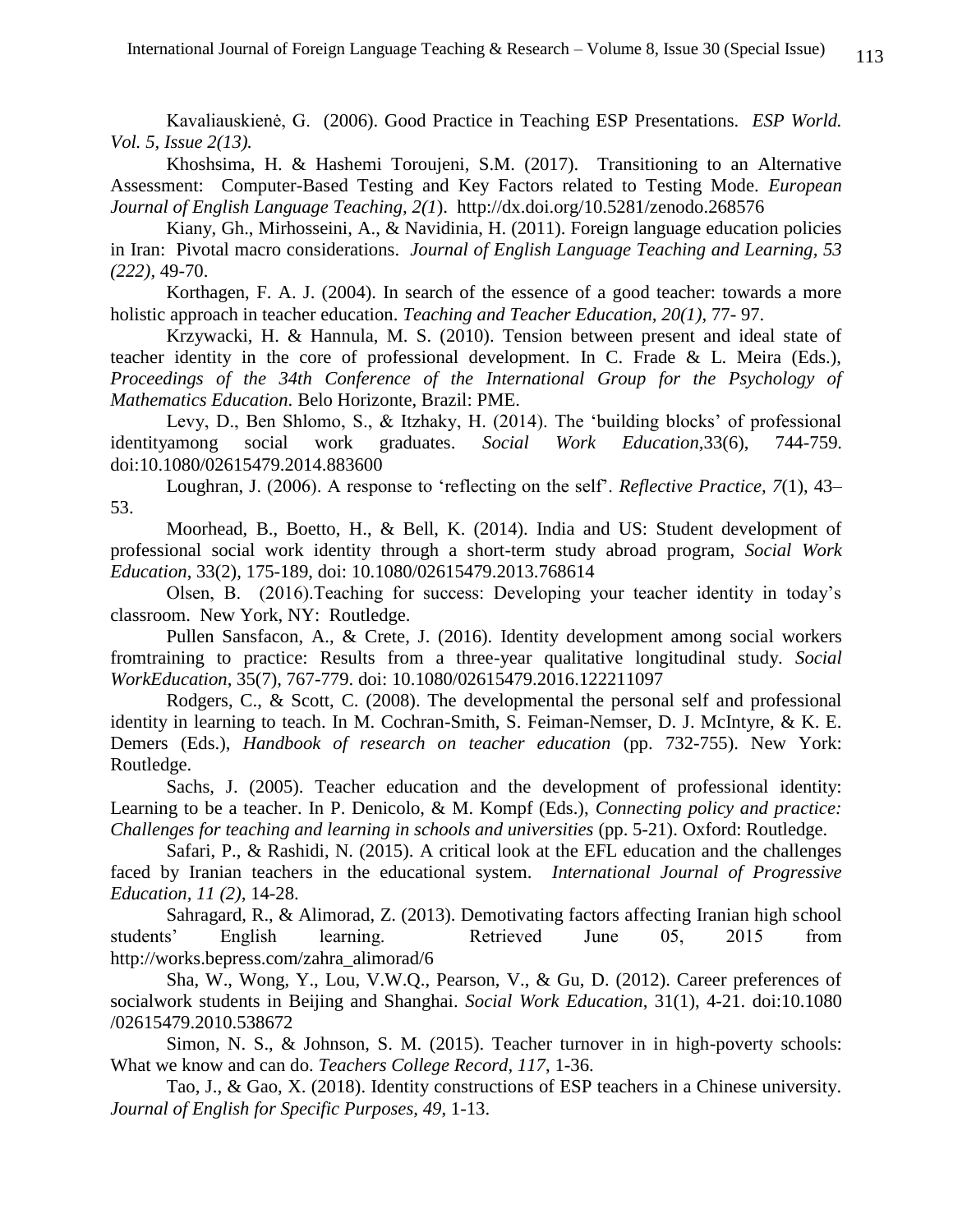Kavaliauskienė, G. (2006). Good Practice in Teaching ESP Presentations. *ESP World. Vol. 5, Issue 2(13).*

Khoshsima, H. & Hashemi Toroujeni, S.M. (2017). Transitioning to an Alternative Assessment: Computer-Based Testing and Key Factors related to Testing Mode. *European Journal of English Language Teaching, 2(1*). <http://dx.doi.org/10.5281/zenodo.268576>

Kiany, Gh., Mirhosseini, A., & Navidinia, H. (2011). Foreign language education policies in Iran: Pivotal macro considerations. *Journal of English Language Teaching and Learning, 53 (222),* 49-70.

Korthagen, F. A. J. (2004). In search of the essence of a good teacher: towards a more holistic approach in teacher education. *Teaching and Teacher Education, 20(1),* 77- 97.

Krzywacki, H. & Hannula, M. S. (2010). Tension between present and ideal state of teacher identity in the core of professional development. In C. Frade & L. Meira (Eds.), *Proceedings of the 34th Conference of the International Group for the Psychology of Mathematics Education*. Belo Horizonte, Brazil: PME.

Levy, D., Ben Shlomo, S., & Itzhaky, H. (2014). The 'building blocks' of professional identityamong social work graduates. *Social Work Education,*33(6), 744-759. doi:10.1080/02615479.2014.883600

Loughran, J. (2006). A response to 'reflecting on the self'. *Reflective Practice, 7*(1), 43– 53.

Moorhead, B., Boetto, H., & Bell, K. (2014). India and US: Student development of professional social work identity through a short-term study abroad program, *Social Work Education*, 33(2), 175-189, doi: 10.1080/02615479.2013.768614

Olsen, B. (2016).Teaching for success: Developing your teacher identity in today's classroom. New York, NY: Routledge.

Pullen Sansfacon, A., & Crete, J. (2016). Identity development among social workers fromtraining to practice: Results from a three-year qualitative longitudinal study. *Social WorkEducation*, 35(7), 767-779. doi: 10.1080/02615479.2016.122211097

Rodgers, C., & Scott, C. (2008). The developmental the personal self and professional identity in learning to teach. In M. Cochran-Smith, S. Feiman-Nemser, D. J. McIntyre, & K. E. Demers (Eds.), *Handbook of research on teacher education* (pp. 732-755). New York: Routledge.

Sachs, J. (2005). Teacher education and the development of professional identity: Learning to be a teacher. In P. Denicolo, & M. Kompf (Eds.), *Connecting policy and practice: Challenges for teaching and learning in schools and universities* (pp. 5-21). Oxford: Routledge.

Safari, P., & Rashidi, N. (2015). A critical look at the EFL education and the challenges faced by Iranian teachers in the educational system. *International Journal of Progressive Education, 11 (2),* 14-28.

Sahragard, R., & Alimorad, Z. (2013). Demotivating factors affecting Iranian high school students' English learning. Retrieved June 05, 2015 from [http://works.bepress.com/zahra\\_alimorad/6](http://works.bepress.com/zahra_alimorad/6)

Sha, W., Wong, Y., Lou, V.W.Q., Pearson, V., & Gu, D. (2012). Career preferences of socialwork students in Beijing and Shanghai. *Social Work Education*, 31(1), 4-21. doi:10.1080 /02615479.2010.538672

Simon, N. S., & Johnson, S. M. (2015). Teacher turnover in in high-poverty schools: What we know and can do. *Teachers College Record, 117*, 1-36.

Tao, J., & Gao, X. (2018). Identity constructions of ESP teachers in a Chinese university. *Journal of English for Specific Purposes, 49*, 1-13.